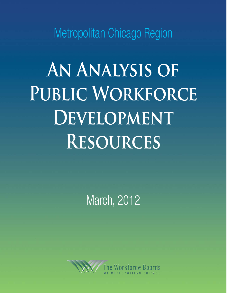Metropolitan Chicago Region

**An Analysis of**  PUBLIC WORKFORCE **DEVELOPMENT Resources**

March, 2012

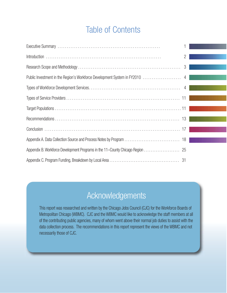# Table of Contents

|                                                                               | 2 |  |
|-------------------------------------------------------------------------------|---|--|
|                                                                               |   |  |
| Public Investment in the Region's Workforce Development System in FY2010  4   |   |  |
|                                                                               |   |  |
|                                                                               |   |  |
|                                                                               |   |  |
|                                                                               |   |  |
|                                                                               |   |  |
|                                                                               |   |  |
| Appendix B. Workforce Development Programs in the 11-County Chicago Region 25 |   |  |
|                                                                               |   |  |

# Acknowledgements

This report was researched and written by the Chicago Jobs Council (CJC) for the Workforce Boards of Metropolitan Chicago (WBMC). CJC and the WBMC would like to acknowledge the staff members at all of the contributing public agencies, many of whom went above their normal job duties to assist with the data collection process. The recommendations in this report represent the views of the WBMC and not necessarily those of CJC.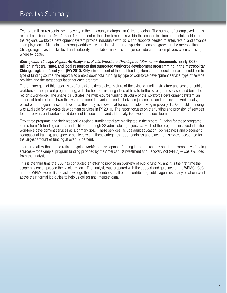Over one million residents live in poverty in the 11-county metropolitan Chicago region. The number of unemployed in this region has climbed to 462,495, or 10.2 percent of the labor force. It is within this economic climate that stakeholders in the region's workforce development system provide individuals with skills and supports needed to enter, retain, and advance in employment. Maintaining a strong workforce system is a vital part of spurring economic growth in the metropolitan Chicago region, as the skill level and suitability of the labor market is a major consideration for employers when choosing where to locate.

Metropolitan Chicago Region: An Analysis of Public Workforce Development Resources documents nearly \$300 million in federal, state, and local resources that supported workforce development programming in the metropolitan Chicago region in fiscal year (FY) 2010. Sixty-nine percent of the total funding stems from federal sources. In addition to type of funding source, the report also breaks down total funding by type of workforce development service, type of service provider, and the target population for each program.

The primary goal of this report is to offer stakeholders a clear picture of the existing funding structure and scope of public workforce development programming, with the hope of inspiring ideas of how to further strengthen services and build the region's workforce. The analysis illustrates the multi-source funding structure of the workforce development system, an important feature that allows the system to meet the various needs of diverse job seekers and employers. Additionally, based on the region's income-level data, the analysis shows that for each resident living in poverty, \$290 in public funding was available for workforce development services in FY 2010. The report focuses on the funding and provision of services for job seekers and workers, and does not include a demand-side analysis of workforce development.

Fifty-three programs and their respective regional funding total are highlighted in the report. Funding for these programs stems from 15 funding sources and is filtered through 22 administering agencies. Each of the programs included identifies workforce development services as a primary goal. These services include adult education, job readiness and placement, occupational training, and specific services within these categories. Job readiness and placement services accounted for the largest amount of funding at over 52 percent.

In order to allow the data to reflect ongoing workforce development funding in the region, any one-time, competitive funding sources – for example, program funding provided by the American Reinvestment and Recovery Act (ARRA) – was excluded from the analysis.

This is the third time the CJC has conducted an effort to provide an overview of public funding, and it is the first time the scope has encompassed the whole region. The analysis was prepared with the support and guidance of the WBMC. CJC and the WBMC would like to acknowledge the staff members at all of the contributing public agencies, many of whom went above their normal job duties to help us collect and interpret data.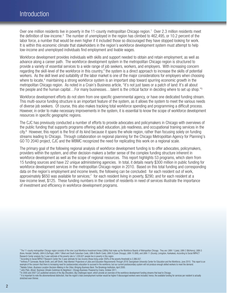Over one million residents live in poverty in the 11-county metropolitan Chicago region.<sup>1</sup> Over 2.3 million residents meet the definition of low-income.<sup>2</sup> The number of unemployed in the region has climbed to 462,495, or 10.2 percent of the labor force, a number that would be even higher if it included those so discouraged they have stopped looking for work. It is within this economic climate that stakeholders in the region's workforce development system must attempt to help low-income and unemployed individuals find employment and livable wages.

Workforce development provides individuals with skills and support needed to obtain and retain employment, as well as advance along a career path. The workforce development system in the metropolitan Chicago region is structured to provide a variety of essential services to a wide range of job seekers, workers, and employers. With increasing concern regarding the skill-level of the workforce in this country,<sup>3</sup> the system is a direct approach to increase the skills of potential workers. As the skill level and suitability of the labor market is one of the major considerations for employers when choosing where to locate,<sup>4</sup> maintaining a strong workforce system is an important step toward spurring economic growth in the metropolitan Chicago region. As noted in a Crain's Business article, "it's not just taxes or a patch of land: It's all about the people and the human capital…For many businesses…talent is the critical factor in deciding where to set up shop."5

Workforce development efforts do not stem from one specific governmental agency, or have one dedicated funding stream. This multi-source funding structure is an important feature of the system, as it allows the system to meet the various needs of diverse job seekers. Of course, this also makes tracking total workforce spending and programming a difficult process. However, in order to make necessary improvements in the system, it is essential to know the scope of workforce development resources in specific geographic regions.

The CJC has previously conducted a number of efforts to provide advocates and policymakers in Chicago with overviews of the public funding that supports programs offering adult education, job readiness, and occupational training services in the city.6 However, this report is the first of its kind because it spans the whole region, rather than focusing solely on funding streams leading to Chicago. Through collaboration on regional planning for the Chicago Metropolitan Agency for Planning's GO TO 2040 project, CJC and the WBMC recognized the need for replicating this work on a regional scale.

The primary goal of the following regional analysis of workforce development funding is to offer advocates, policymakers, providers within the system, and other decision-makers a better sense of the complex funding structure inherent in workforce development as well as the scope of regional resources. This report highlights 53 programs, which stem from 15 funding sources and have 22 unique administering agencies. In total, it details nearly \$300 million in public funding for workforce development services in the metropolitan Chicago region in 2010. Based on this total funding and corresponding data on the region's employment and income levels, the following can be concluded: for each resident out of work, approximately \$650 was available for services;<sup>7</sup> for each resident living in poverty, \$290; and for each resident at a low-income level, \$125. These funding numbers in the context of residents in need of services illustrate the importance of investment and efficiency in workforce development programs.

Research Center analysis the 3-year estimate of the poverty rate is 1,030,621 people live in poverty in this region.<br>Proceduring to Social MPACT Research Center the 3-year estimate of the poverty rate is 1,030,621 people l <sup>4</sup> Natalie Cohen, *Business Location Decision-Making in the Cities: Bringing Business Back*, The Brookings Institution, April 2000.<br><sup>5</sup> John Pletz, *Illinois' Business Climate Outshines Its Neighbors',* Chicago Business:

stretched even thinner.

<sup>&</sup>lt;sup>1</sup> The 11-county metropolitan Chicago region consists of the nine Local Workforce Investment Areas (LWIAs) that make up the Workforce Boards of Metropolitan Chicago. They are: LWIA 1 (Lake), LWIA 2 (McHenry), LWIA 5<br>(Kane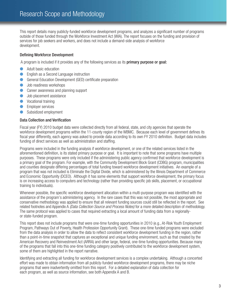This report details many publicly-funded workforce development programs, and analyzes a significant number of programs outside of those funded through the Workforce Investment Act (WIA). The report focuses on the funding and provision of services for job seekers and workers, and does not include a demand-side analysis of workforce development.

## Defining Workforce Development

A program is included if it provides any of the following services as its primary purpose or goal:

- Adult basic education
- English as a Second Language instruction
- **C** General Education Development (GED) certificate preparation
- l Job readiness workshops
- Career awareness and planning support
- Job placement assistance
- **•** Vocational training
- **C** Employer services
- Subsidized employment

#### Data Collection and Verification

Fiscal year (FY) 2010 budget data were collected directly from all federal, state, and city agencies that operate the workforce development programs within the 11-county region of the WBMC. Because each level of government defines its fiscal year differently, each agency was asked to provide data according to its own FY 2010 definition. Budget data includes funding of direct services as well as administration and staffing.

Programs were included in the funding analysis if workforce development, or one of the related services listed in the aforementioned definition, is its stated primary purpose or goal. It is important to note that some programs have multiple purposes. These programs were only included if the administering public agency confirmed that workforce development is a primary goal of the program. For example, with the Community Development Block Grant (CDBG) program, municipalities and counties designate differing percentages of total funding toward workforce development initiatives. An example of a program that was not included is Eliminate the Digital Divide, which is administered by the Illinois Department of Commerce and Economic Opportunity (DCEO). Although it has some elements that support workforce development, the primary focus is on increasing access to computers and technology (rather than providing specific job skills, placement, or occupational training to individuals).

Whenever possible, the specific workforce development allocation within a multi-purpose program was identified with the assistance of the program's administering agency. In the rare cases that this was not possible, the most appropriate and conservative methodology was applied to ensure that all relevant funding sources could still be reflected in the report. See related footnotes and Appendix A (Data Collection Source and Process Notes) for a more detailed description of methodology. The same protocol was applied to cases that required extracting a local amount of funding data from a regionallyor state-funded program.

This report does not include programs that were one-time funding opportunities in 2010 (e.g., At-Risk Youth Employment Program, Pathways Out of Poverty, Health Profession Opportunity Grant). These one-time funded programs were excluded from the data analysis in order to allow the data to reflect consistent workforce development funding in the region, rather than a point-in-time snapshot that captures an exceptional and unique funding environment, such as that created by the American Recovery and Reinvestment Act (ARRA) and other large, federal, one-time funding opportunities. Because many of the programs that fall into this one-time funding category positively contributed to the workforce development system, some of them are highlighted in the report narrative.

Identifying and extracting all funding for workforce development services is a complex undertaking. Although a concerted effort was made to obtain information from all publicly-funded workforce development programs, there may be niche programs that were inadvertently omitted from this report. For a detailed explanation of data collection for each program, as well as source information, see both Appendix A and B.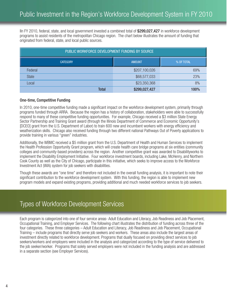IIn FY 2010, federal, state, and local government invested a combined total of \$299,027,427 in workforce development programs to assist residents of the metropolitan Chicago region. The chart below illustrates the amount of funding that originated from federal, state, and local public sources.

| PUBLIC WORKFORCE DEVELOPMENT FUNDING BY SOURCE |               |     |  |  |  |
|------------------------------------------------|---------------|-----|--|--|--|
| <b>CATEGORY</b><br><b>AMOUNT</b><br>% OF TOTAL |               |     |  |  |  |
| Federal                                        | \$207,100,026 | 69% |  |  |  |
| <b>State</b>                                   | \$68,577,033  | 23% |  |  |  |
| Local                                          | \$23,350,368  | 8%  |  |  |  |
| \$299,027,427<br><b>Total</b><br>100%          |               |     |  |  |  |

#### One-time, Competitive Funding

In 2010, one-time competitive funding made a significant impact on the workforce development system, primarily through programs funded through ARRA. Because the region has a history of collaboration, stakeholders were able to successfully respond to many of these competitive funding opportunities. For example, Chicago received a \$3 million State Energy Sector Partnership and Training Grant award (through the Illinois Department of Commerce and Economic Opportunity's [DCEO] grant from the U.S. Department of Labor) to train 600 new and incumbent workers with energy efficiency and weatherization skills. Chicago also received funding through two different national Pathways Out of Poverty applications to provide training in various "green" industries.

Additionally, the WBMC received a \$5 million grant from the U.S. Department of Health and Human Services to implement the Health Profession Opportunity Grant program, which will create health care bridge programs at six entities (community colleges and community-based providers) across the region. Another competitive grant was awarded to Disabilityworks to implement the Disability Employment Initiative. Four workforce investment boards, including Lake, McHenry, and Northern Cook County as well as the City of Chicago, participate in this initiative, which seeks to improve access to the Workforce Investment Act (WIA) system for job seekers with disabilities.

Though these awards are "one time" and therefore not included in the overall funding analysis, it is important to note their significant contribution to the workforce development system. With this funding, the region is able to implement new program models and expand existing programs, providing additional and much needed workforce services to job seekers.

## Types of Workforce Development Services

Each program is categorized into one of four service areas- Adult Education and Literacy, Job Readiness and Job Placement, Occupational Training, and Employer Services. The following chart illustrates the distribution of funding across three of the four categories. These three categories – Adult Education and Literacy, Job Readiness and Job Placement, Occupational Training – include programs that directly serve job seekers and workers. These areas also include the largest areas of investment directly related to workforce development. Programs that dually focused on providing direct services to job seekers/workers and employers were included in the analysis and categorized according to the type of service delivered to the job seeker/worker. Programs that solely served employers were not included in the funding analysis and are addressed in a separate section (see Employer Services).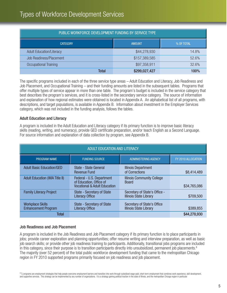## Types of Workforce Development Services

| PUBLIC WORKFORCE DEVELOPMENT FUNDING BY SERVICE TYPE |               |       |  |  |  |
|------------------------------------------------------|---------------|-------|--|--|--|
| <b>CATEGORY</b><br><b>AMOUNT</b><br>% OF TOTAL       |               |       |  |  |  |
| <b>Adult Education/Literacy</b>                      | \$44,278,930  | 14.8% |  |  |  |
| <b>Job Readiness/Placement</b>                       | \$157,389,585 | 52.6% |  |  |  |
| Occupational Training                                | \$97,358,911  | 32.6% |  |  |  |
| \$299,027,427<br>Total<br>100%                       |               |       |  |  |  |

The specific programs included in each of the three service type areas – Adult Education and Literacy, Job Readiness and Job Placement, and Occupational Training – and their funding amounts are listed in the subsequent tables. Programs that offer multiple types of service appear in more than one table. The program's budget is included in the service category that best describes the program's services, and it is cross-listed in the secondary service category. The source of information and explanation of how regional estimates were obtained is located in Appendix A. An alphabetical list of all programs, with descriptions, and target populations, is available in Appendix B. Information about investment in the Employer Services category, which was not included in the funding analysis, follows the tables.

#### Adult Education and Literacy

A program is included in the Adult Education and Literacy category if its primary function is to improve basic literacy skills (reading, writing, and numeracy), provide GED certificate preparation, and/or teach English as a Second Language. For source information and explanation of data collection by program, see Appendix B.

| ADULT EDUCATION AND LITERACY                          |                                                                                                                                                      |                                                                |              |
|-------------------------------------------------------|------------------------------------------------------------------------------------------------------------------------------------------------------|----------------------------------------------------------------|--------------|
| <b>PROGRAM NAME</b>                                   | FY 2010 ALLOCATION                                                                                                                                   |                                                                |              |
| <b>Adult Basic Education/GED</b>                      | State - State General<br><b>Revenue Fund</b>                                                                                                         | <b>Illinois Department</b><br>of Corrections                   | \$8,414,489  |
| <b>Adult Education (WIA Title II)</b>                 | Federal - U.S. Department<br><b>Illinois Community College</b><br>of Education, Office of<br><b>Board</b><br><b>Vocational &amp; Adult Education</b> |                                                                | \$34,765,086 |
| <b>Family Literacy Project</b>                        | <b>State - Secretary of State</b><br><b>Literacy Office</b>                                                                                          | Secretary of State's Office -<br><b>Illinois State Library</b> | \$709,500    |
| <b>Workplace Skills</b><br><b>Enhancement Program</b> | <b>State - Secretary of State</b><br><b>Literacy Office</b>                                                                                          | Secretary of State's Office<br><b>Illinois State Library</b>   | \$389,855    |
| <b>Total</b>                                          |                                                                                                                                                      |                                                                | \$44,278,930 |

#### Job Readiness and Job Placement

A program is included in the Job Readiness and Job Placement category if its primary function is to place participants in jobs; provide career exploration and planning opportunities; offer resume writing and interview preparation, as well as basic job search skills; or provide other job readiness training to participants. Additionally, transitional jobs programs are included in this category, since their purpose is to transition participants directly into unsubsidized, permanent job placements.<sup>8</sup> The majority (over 52 percent) of the total public workforce development funding that came to the metropolitan Chicago region in FY 2010 supported programs primarily focused on job readiness and job placement.

<sup>8</sup> TJ programs are employment strategies that help people overcome employment barriers and transition into work through subsidized wage-paid, short-term employment that combines work experience, skill development and supportive services. This strategy can be implemented by any number of organizations. It is a strategy gaining political traction in the state of Illinois, and the metropolitan Chicago region in particular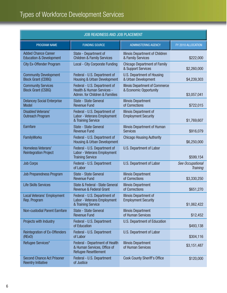| JOB READINESS AND JOB PLACEMENT                                  |                                                                                                     |                                                                  |                                     |
|------------------------------------------------------------------|-----------------------------------------------------------------------------------------------------|------------------------------------------------------------------|-------------------------------------|
| PROGRAM NAME                                                     | <b>FUNDING SOURCE</b>                                                                               | <b>ADMINISTERING AGENCY</b>                                      | FY 2010 ALLOCATION                  |
| <b>Added Chance Career</b><br><b>Education &amp; Development</b> | State - Department of<br><b>Children &amp; Family Services</b>                                      | <b>Illinois Department of Children</b><br>& Family Services      | \$222,000                           |
| <b>City Ex-Offender Program</b>                                  | <b>Local - City Corporate Funding</b>                                                               | <b>Chicago Department of Family</b><br>& Support Services        | \$2,260,000                         |
| <b>Community Development</b><br><b>Block Grant (CDBG)</b>        | Federal - U.S. Department of<br><b>Housing &amp; Urban Development</b>                              | U.S. Department of Housing<br>& Urban Development                | \$4,239,303                         |
| <b>Community Services</b><br><b>Block Grant (CSBG)</b>           | Federal - U.S. Department of<br>Health & Human Services -<br>Admin. for Children & Families         | <b>Illinois Department of Commerce</b><br>& Economic Opportunity | \$3,057,041                         |
| <b>Delancey Social Enterprise</b><br><b>Model</b>                | <b>State - State General</b><br><b>Revenue Fund</b>                                                 | <b>Illinois Department</b><br>of Corrections                     | \$722,015                           |
| <b>Disabled Veterans'</b><br><b>Outreach Program</b>             | Federal - U.S. Department of<br>Labor - Veterans Employment<br>& Training Service                   | <b>Illinois Department of</b><br><b>Employment Security</b>      | \$1,769,607                         |
| Earnfare                                                         | <b>State - State General</b><br><b>Revenue Fund</b>                                                 | <b>Illinois Department of Human</b><br><b>Services</b>           | \$916,079                           |
| <b>FamilyWorks</b>                                               | Federal - U.S. Department of<br><b>Housing &amp; Urban Development</b>                              | <b>Chicago Housing Authority</b>                                 | \$6,250,000                         |
| Homeless Veterans'<br><b>Reintegration Project</b>               | Federal - U.S. Department of<br>Labor - Veterans Employment<br><b>Training Service</b>              | U.S. Department of Labor                                         | \$599,154                           |
| <b>Job Corps</b>                                                 | Federal - U.S. Department<br>of Labor                                                               | U.S. Department of Labor                                         | See Occupational<br><b>Training</b> |
| <b>Job Preparedness Program</b>                                  | <b>State - State General</b><br><b>Revenue Fund</b>                                                 | <b>Illinois Department</b><br>of Corrections                     | \$3,330,250                         |
| <b>Life Skills Services</b>                                      | State & Federal - State General<br><b>Revenue &amp; Federal Grant</b>                               | <b>Illinois Department</b><br>of Corrections                     | \$651,270                           |
| Local Veterans' Employment<br>Rep. Program                       | Federal - U.S. Department of<br><b>Labor - Veterans Employment</b><br>& Training Service            | Illinois Department of<br><b>Employment Security</b>             | \$1,062,422                         |
| <b>Non-custodial Parent Earnfare</b>                             | <b>State - State General</b><br><b>Revenue Fund</b>                                                 | <b>Illinois Department</b><br>of Human Services                  | \$12,452                            |
| Projects with Industry                                           | Federal - U.S. Department<br>of Education                                                           | <b>U.S. Department of Education</b>                              | \$493,138                           |
| <b>Reintegration of Ex-Offenders</b><br>(REXO)                   | Federal - U.S. Department<br>of Labor                                                               | U.S. Department of Labor                                         | \$304,116                           |
| Refugee Services*                                                | <b>Federal - Department of Health</b><br>& Human Services, Office of<br><b>Refugee Resettlement</b> | <b>Illinois Department</b><br>of Human Services                  | \$3,151,487                         |
| <b>Second Chance Act Prisoner</b><br><b>Reentry Initiative</b>   | Federal - U.S. Department<br>of Justice                                                             | <b>Cook County Sheriff's Office</b>                              | \$120,000                           |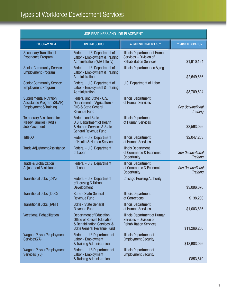| JOB READINESS AND JOB PLACEMENT                                                                |                                                                                                                                                                     |                                                                                          |                                     |
|------------------------------------------------------------------------------------------------|---------------------------------------------------------------------------------------------------------------------------------------------------------------------|------------------------------------------------------------------------------------------|-------------------------------------|
| PROGRAM NAME                                                                                   | <b>FUNDING SOURCE</b>                                                                                                                                               | <b>ADMINISTERING AGENCY</b>                                                              | FY 2010 ALLOCATION                  |
| <b>Secondary Transitional</b><br><b>Experience Program</b>                                     | Federal - U.S. Department of<br>Labor - Employment & Training<br><b>Administration (WIA Title IV)</b>                                                               | Illinois Department of Human<br>Services - Division of<br><b>Rehabilitation Services</b> | \$1,910,164                         |
| <b>Senior Community Service</b><br><b>Employment Program</b>                                   | Federal - U.S. Department of<br>Labor - Employment & Training<br>Administration                                                                                     | <b>Illinois Department on Aging</b>                                                      | \$2,649,686                         |
| <b>Senior Community Service</b><br><b>Employment Program</b>                                   | U.S. Department of Labor<br>Federal - U.S. Department of<br>Labor - Employment & Training<br>Administration                                                         |                                                                                          | \$8,709,694                         |
| <b>Supplemental Nutrition</b><br>Assistance Program (SNAP)<br><b>Employment &amp; Training</b> | Federal and State - U.S.<br><b>Illinois Department</b><br>of Human Services<br>Department of Agriculture -<br><b>FNS &amp; State General</b><br><b>Revenue Fund</b> |                                                                                          | See Occupational<br><b>Training</b> |
| <b>Temporary Assistance for</b><br><b>Needy Families (TANF)</b><br><b>Job Placement</b>        | Federal and State -<br><b>U.S. Department of Health</b><br>& Human Services & State<br><b>General Revenue Fund</b>                                                  | <b>Illinois Department</b><br>of Human Services                                          | \$3,563,026                         |
| <b>Title XX</b>                                                                                | <b>Illinois Department</b><br>Federal - U.S. Department<br>of Health & Human Services<br>of Human Services                                                          |                                                                                          | \$2,047,203                         |
| <b>Trade Adjustment Assistance</b>                                                             | Federal - U.S. Department<br>of Labor                                                                                                                               | <b>Ilinois Department</b><br>of Commerce & Economic<br>Opportunity                       | See Occupational<br><b>Training</b> |
| <b>Trade &amp; Globalization</b><br><b>Adjustment Assistance</b>                               | Federal - U.S. Department<br>of Labor                                                                                                                               | <b>Illinois Department</b><br>of Commerce & Economic<br>Opportunity                      | See Occupational<br><b>Training</b> |
| <b>Transitional Jobs (CHA)</b>                                                                 | Federal - U.S. Department<br>of Housing & Urban<br>Development                                                                                                      | <b>Chicago Housing Authority</b>                                                         | \$3,096,670                         |
| Transitional Jobs (IDOC)                                                                       | <b>State - State General</b><br><b>Revenue Fund</b>                                                                                                                 | <b>Illinois Department</b><br>of Corrections                                             | \$138,230                           |
| <b>Transitional Jobs (TANF)</b>                                                                | State - State General<br><b>Revenue Fund</b>                                                                                                                        | <b>Illinois Department</b><br>of Human Services                                          | \$1,003,836                         |
| <b>Vocational Rehabilitation</b>                                                               | Department of Education,<br><b>Office of Special Education</b><br>& Rehabilitation Services, &<br><b>State General Revenue Fund</b>                                 | Illinois Department of Human<br>Services - Division of<br><b>Rehabilitation Services</b> | \$11,266,200                        |
| Wagner-Peyser/Employment<br>Services(7A)                                                       | Federal - U.S Department of<br>Labor - Employment<br>& Training Administration                                                                                      | <b>Illinois Department of</b><br><b>Employment Security</b>                              | \$18,603,026                        |
| Wagner-Peyser/Employment<br>Services (7B)                                                      | Federal - U.S Department of<br>Labor - Employment<br>& Training Administration                                                                                      | Illinois Department of<br><b>Employment Security</b>                                     | \$853,619                           |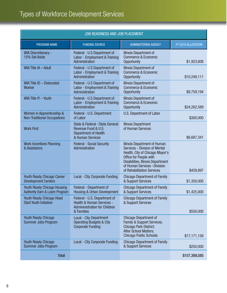| <b>JOB READINESS AND JOB PLACEMENT</b>                                          |                                                                                                              |                                                                                                                                                                                                                                             |                    |
|---------------------------------------------------------------------------------|--------------------------------------------------------------------------------------------------------------|---------------------------------------------------------------------------------------------------------------------------------------------------------------------------------------------------------------------------------------------|--------------------|
| PROGRAM NAME                                                                    | <b>FUNDING SOURCE</b>                                                                                        | <b>ADMINISTERING AGENCY</b>                                                                                                                                                                                                                 | FY 2010 ALLOCATION |
| <b>WIA Discretionary -</b><br>15% Set Aside                                     | Federal - U.S Department of<br>Labor - Employment & Training<br>Administration                               | Illinois Department of<br><b>Commerce &amp; Economic</b><br>Opportunity                                                                                                                                                                     | \$1,923,608        |
| WIA Title IA - Adult                                                            | Federal - U.S Department of<br>Labor - Employment & Training<br>Administration                               | Illinois Department of<br><b>Commerce &amp; Economic</b><br>Opportunity                                                                                                                                                                     |                    |
| WIA Title ID - Dislocated<br><b>Worker</b>                                      | Federal - U.S Department of<br>Labor - Employment & Training<br>Administration                               | Illinois Department of<br><b>Commerce &amp; Economic</b><br>Opportunity                                                                                                                                                                     | \$9,759,194        |
| WIA Title IY - Youth                                                            | Federal - U.S Department of<br>Labor - Employment & Training<br>Administration                               | Illinois Department of<br><b>Commerce &amp; Economic</b><br>Opportunity                                                                                                                                                                     | \$24,262,589       |
| Women in Apprenticeship &<br><b>Non-Traditional Occupations</b>                 | Federal - U.S. Department<br>of Labor                                                                        | U.S. Department of Labor                                                                                                                                                                                                                    | \$300,000          |
| <b>Work First</b>                                                               | State & Federal - State General<br>Revenue Fund & U.S.<br><b>Department of Health</b><br>& Human Services    | <b>Illinois Department</b><br>of Human Services                                                                                                                                                                                             | \$6,687,341        |
| <b>Work Incentives Planning</b><br>& Assistance                                 | <b>Federal - Social Security</b><br>Administration                                                           | Illinois Department of Human<br><b>Services - Division of Mental</b><br>Health, City of Chicago Mayor's<br>Office for People with<br><b>Disabilities, Illinois Department</b><br>of Human Services - Division<br>of Rehabilitation Services | \$459,897          |
| <b>Youth Ready Chicago Career</b><br><b>Development Centers</b>                 | <b>Local - City Corporate Funding</b>                                                                        | <b>Chicago Department of Family</b><br>& Support Services                                                                                                                                                                                   | \$1,350,000        |
| <b>Youth Ready Chicago Housing</b><br><b>Authority Earn &amp; Learn Program</b> | Federal - Department of<br><b>Housing &amp; Urban Development</b>                                            | <b>Chicago Department of Family</b><br>& Support Services                                                                                                                                                                                   | \$1,425,000        |
| <b>Youth Ready Chicago Head</b><br><b>Start Youth Initiative</b>                | Federal - U.S. Department of<br><b>Health &amp; Human Services -</b><br><b>Admininistration for Children</b> | <b>Chicago Department of Family</b><br>& Support Services                                                                                                                                                                                   |                    |
| <b>Youth Ready Chicago</b>                                                      | & Families<br><b>Local - City Department</b>                                                                 | <b>Chicago Department of</b>                                                                                                                                                                                                                | \$550,000          |
| Summer Jobs Program                                                             | <b>Operating Budgets &amp; City</b><br><b>Corporate Funding</b>                                              | <b>Family &amp; Support Services;</b><br>Chicago Park District;<br><b>After School Matters;</b><br><b>Chicago Public Schools</b>                                                                                                            | \$17,171,156       |
| <b>Youth Ready Chicago</b><br>Summer Jobs Program                               | Local - City Corporate Funding                                                                               | <b>Chicago Department of Family</b><br>& Support Services                                                                                                                                                                                   | \$250,000          |
| <b>Total</b>                                                                    |                                                                                                              |                                                                                                                                                                                                                                             | \$157,389,585      |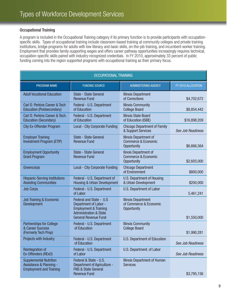#### Occupational Training

A program is included in the Occupational Training category if its primary function is to provide participants with occupationspecific skills. Types of occupational training include classroom-based training at community colleges and private training institutions, bridge programs for adults with low literacy and basic skills, on-the-job training, and incumbent worker training. Employment that provides family-supporting wages and offers career pathway opportunities increasingly requires technical, occupation-specific skills paired with industry-recognized credentials. In FY 2010, approximately 33 percent of public funding coming into the region supported programs with occupational training as their primary focus.

| <b>OCCUPATIONAL TRAINING</b>                                                               |                                                                                                                                                          |                                                                            |                    |  |
|--------------------------------------------------------------------------------------------|----------------------------------------------------------------------------------------------------------------------------------------------------------|----------------------------------------------------------------------------|--------------------|--|
| <b>PROGRAM NAME</b>                                                                        | <b>FUNDING SOURCE</b>                                                                                                                                    | <b>ADMINISTERING AGENCY</b>                                                | FY 2010 ALLOCATION |  |
| <b>Adult Vocational Education</b>                                                          | State - State General<br><b>Revenue Fund</b>                                                                                                             | <b>Illinois Department</b><br>of Corrections                               | \$4,702,672        |  |
| Carl D. Perkins Career & Tech<br><b>Education (Postsecondary)</b>                          | Federal - U.S. Department<br>of Education                                                                                                                | <b>Illinois Community</b><br><b>College Board</b>                          | \$8,854,442        |  |
| Carl D. Perkins Career & Tech.<br><b>Education (Secondary)</b>                             | Federal - U.S. Department<br>of Education                                                                                                                | <b>Illinois State Board</b><br>of Education (ISBE)                         | \$16,898,209       |  |
| <b>City Ex-Offender Program</b>                                                            | Local - City Corporate Funding                                                                                                                           | <b>Chicago Department of Family</b><br>& Support Services                  | See Job Readiness  |  |
| <b>Employer Training</b><br>Investment Program (ETIP)                                      | <b>State - State General</b><br><b>Revenue Fund</b>                                                                                                      | Illinois Department of<br><b>Commerce &amp; Economic</b><br>Opportunity    | \$6,666,564        |  |
| <b>Employment Opportunity</b><br><b>Grant Program</b>                                      | <b>State - State General</b><br><b>Revenue Fund</b>                                                                                                      | Ilinois Department of<br><b>Commerce &amp; Economic</b><br>Opportunity     | \$2,605,000        |  |
| Greencorps                                                                                 | <b>Local - City Corporate Funding</b>                                                                                                                    | <b>Chicago Department</b><br>of Environment                                | \$800,000          |  |
| <b>Hispanic-Serving Institutions</b><br><b>Assisting Communities</b>                       | Federal - U.S. Department of<br><b>Housing &amp; Urban Development</b>                                                                                   | U.S. Department of Housing<br>& Urban Development                          | \$200,000          |  |
| <b>Job Corps</b>                                                                           | Federal - U.S. Department<br>of Labor                                                                                                                    | U.S. Department of Labor                                                   | 5,461,241          |  |
| <b>Job Training &amp; Economic</b><br>Development                                          | Federal and State - U.S<br>Department of Labor -<br><b>Employment &amp; Training</b><br><b>Administration &amp; State</b><br><b>General Revenue Fund</b> | <b>Illinois Department</b><br>of Commerce & Economic<br><b>Opportunity</b> | \$1,550,000        |  |
| <b>Partnerships for College</b><br>& Career Success<br>(Formerly Tech Prep)                | Federal - U.S. Department<br>of Education                                                                                                                | <b>Illinois Community</b><br><b>College Board</b>                          | \$1,990,281        |  |
| Projects with Industry                                                                     | Federal - U.S. Department<br>of Education                                                                                                                | U.S. Department of Education                                               | See Job Readiness  |  |
| <b>Reintegration of</b><br>Ex-Offenders (RExO)                                             | Federal - U.S. Department<br>of Labor                                                                                                                    | U.S. Department. of Labor                                                  | See Job Readiness  |  |
| <b>Supplemental Nutrition</b><br>Assistance & Planning -<br><b>Employment and Training</b> | Federal & State - U.S.<br>Department of Agriculture -<br><b>FNS &amp; State General</b><br><b>Revenue Fund</b>                                           | Illinois Department of Human<br><b>Services</b>                            | \$3,795,156        |  |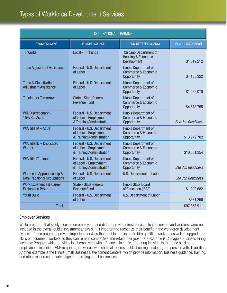| <b>OCCUPATIONAL TRAINING</b>                                      |                                                                                 |                                                                                |                          |
|-------------------------------------------------------------------|---------------------------------------------------------------------------------|--------------------------------------------------------------------------------|--------------------------|
| PROGRAM NAME                                                      | <b>FUNDING SOURCE</b>                                                           | <b>ADMINISTERING AGENCY</b>                                                    | FY 2010 ALLOCATION       |
| <b>TIFWorks</b>                                                   | <b>Local - TIF Funds</b>                                                        | <b>Chicago Department of</b><br>Housing & Economic<br>Development              | \$1,519,212              |
| <b>Trade Adjustment Assistance</b>                                | Federal - U.S. Department<br>of Labor                                           | Illinois Department of<br><b>Commerce &amp; Economic</b><br>Opportunity        | \$4,135,322              |
| <b>Trade &amp; Globalization</b><br><b>Adjustment Assistance</b>  | Federal - U.S. Department<br>of Labor                                           | Illinois Department of<br><b>Commerce &amp; Economic</b><br>Opportunity        | \$1,462,070              |
| <b>Training for Tomorrow</b>                                      | State - State General<br><b>Revenue Fund</b>                                    | Illinois Department of<br><b>Commerce &amp; Economic</b><br>Opportunity        | \$4,673,755              |
| <b>WIA Discretionary -</b><br>15% Set Aside                       | Federal - U.S. Department<br>of Labor - Employment<br>& Training Administration | <b>Illinois Department of</b><br><b>Commerce &amp; Economic</b><br>Opportunity | See Job Readiness        |
| WIA Title IA - Adult                                              | Federal - U.S. Department<br>of Labor - Employment<br>& Training Administration | <b>Illinois Department of</b><br><b>Commerce &amp; Economic</b><br>Opportunity | \$13,972,702             |
| WIA Title ID - Dislocated<br><b>Worker</b>                        | Federal - U.S. Department<br>of Labor - Employment<br>& Training Administration | <b>Illinois Department of</b><br><b>Commerce &amp; Economic</b><br>Opportunity | \$16,081,354             |
| WIA Title IY - Youth                                              | Federal - U.S. Department<br>of Labor - Employment<br>& Training Administration | Illinois Department of<br><b>Commerce &amp; Economic</b><br>Opportunity        | <b>See Job Readiness</b> |
| Women in Apprenticeship &<br><b>Non-Traditional Occupations</b>   | Federal - U.S. Department<br>of Labor                                           | U.S. Department of Labor                                                       | See Job Readiness        |
| <b>Work Experience &amp; Career</b><br><b>Exploration Program</b> | <b>State - State General</b><br><b>Revenue Fund</b>                             | <b>Illinois State Board</b><br>of Education (ISBE)                             | \$1,309,682              |
| <b>Youth Build</b>                                                | Federal - U.S. Department<br>of Labor                                           | U.S. Department of Labor                                                       | \$681,250                |
| <b>Total</b>                                                      |                                                                                 |                                                                                | \$97,358,911             |

### Employer Services

While programs that solely focused on employers (and did not provide direct services to job seekers and workers) were not included in the overall public investment analysis, it is important to recognize their benefit in the workforce development system. These programs provide important services that enable employers to hire qualified workers, as well as upgrade the skills of incumbent workers so they can remain competitive and retain their jobs. One example is Chicago's Business Hiring Incentive Program which provides local employers with a financial incentive for hiring individuals that face barriers to employment, including TANF recipients, individuals with criminal records, public housing residents, and persons with disabilities. Another example is the Illinois Small Business Development Centers, which provide information, business guidance, training, and other resources to early stage and existing small businesses.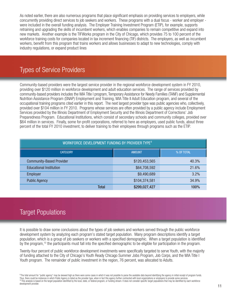As noted earlier, there are also numerous programs that place significant emphasis on providing services to employers, while concurrently providing direct services to job seekers and workers. These programs with a dual focus - worker and employer were included in the overall funding analysis. The Employer Training Investment Program (ETIP), for example, supports retraining and upgrading the skills of incumbent workers, which enables companies to remain competitive and expand into new markets. Another example is the TIFWorks program in the City of Chicago, which provides 75 to 100 percent of the workforce training costs for companies located in tax increment financing (TIF) districts. The employers, as well as incumbent workers, benefit from this program that trains workers and allows businesses to adapt to new technologies, comply with industry regulations, or expand product lines

## Types of Service Providers

Community-based providers were the largest service provider in the regional workforce development system in FY 2010, providing over \$120 million in workforce development and adult education services. The range of services provided by community-based providers includes the WIA Title I program, Temporary Assistance for Needy Families (TANF) and Supplemental Nutrition Assistance Program (SNAP) Employment and Training, WIA Title II Adult Education program, and several of the occupational training programs cited earlier in this report. The next largest provider type was public agencies who, collectively, provided over \$104 million in FY 2010. Programs whose services are often provided by a public agency include Employment Services provided by the Illinois Department of Employment Security and the Illinois Department of Corrections' Job Preparedness Program. Educational Institutions, which consist of secondary schools and community colleges, provided over \$64 million in services. Finally, some for-profit corporations, referred to here as employers, used public funds, about three percent of the total FY 2010 investment, to deliver training to their employees through programs such as the ETIP.

| WORKFORCE DEVELOPMENT FUNDING BY PROVIDER TYPE <sup>9</sup> |               |       |  |  |
|-------------------------------------------------------------|---------------|-------|--|--|
| <b>CATEGORY</b><br><b>AMOUNT</b><br>% OF TOTAL              |               |       |  |  |
| <b>Community-Based Provider</b>                             | \$120,453,565 | 40.3% |  |  |
| <b>Educational Institution</b>                              | \$64,708,592  | 21.6% |  |  |
| Employer                                                    | \$9,490,689   | 3.2%  |  |  |
| <b>Public Agency</b>                                        | \$104,374,581 | 34.9% |  |  |
| Total                                                       | \$299,027,427 | 100%  |  |  |

## Target Populations

It is possible to draw some conclusions about the types of job seekers and workers served through the public workforce development system by analyzing each program's stated target population. Many program descriptions identify a target population, which is a group of job seekers or workers with a specified demographic. When a target population is identified by the program,<sup>10</sup> the participants must fall into the specified demographic to be eligible for participation in the program.

Twenty-four percent of public workforce development investments were specifically targeted to serve Youth, with the majority of funding attached to the City of Chicago's Youth Ready Chicago Summer Jobs Program, Job Corps, and the WIA Title I Youth program. The remainder of public investment in the region, 76 percent, was allocated to Adults.

<sup>&</sup>lt;sup>9</sup> The total amount for "public agency" may be skewed high as there were some cases in which it was not possible to parse the available data beyond identifying the agency in initial receipt of program funds. Thus, there could be instances in which Public Agency is listed as the provider type, when in fact this agency further contracted with local organizations or employers to provide some services. <sup>0</sup> This analysis is based on the target population identified by the local, state, or federal program, or funding stream. It does not consider specific target populations that may be identified by each workforce development provider.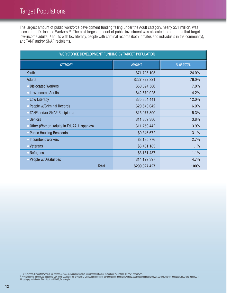## Target Populations

The largest amount of public workforce development funding falling under the Adult category, nearly \$51 million, was allocated to Dislocated Workers.<sup>11</sup> The next largest amount of public investment was allocated to programs that target low-income adults,<sup>12</sup> adults with low literacy, people with criminal records (both inmates and individuals in the community), and TANF and/or SNAP recipients.

| WORKFORCE DEVELOPMENT FUNDING BY TARGET POPULATION |               |       |  |  |  |
|----------------------------------------------------|---------------|-------|--|--|--|
| <b>CATEGORY</b><br><b>AMOUNT</b><br>% OF TOTAL     |               |       |  |  |  |
| <b>Youth</b>                                       | \$71,705,105  | 24.0% |  |  |  |
| <b>Adults</b>                                      | \$227,322,321 | 76.0% |  |  |  |
| • Dislocated Workers                               | \$50,894,586  | 17.0% |  |  |  |
| • Low-Income Adults                                | \$42,579,025  | 14.2% |  |  |  |
| • Low Literacy                                     | \$35,864,441  | 12.0% |  |  |  |
| People w/Criminal Records                          | \$20,643,042  | 6.9%  |  |  |  |
| • TANF and/or SNAP Recipients                      | \$15,977,890  | 5.3%  |  |  |  |
| • Seniors                                          | \$11,359,380  | 3.8%  |  |  |  |
| Other (Women, Adults in Ed, AA, Hispanics)         | \$11,759,442  | 3.9%  |  |  |  |
| <b>Public Housing Residents</b>                    | \$9,346,672   | 3.1%  |  |  |  |
| • Incumbent Workers                                | \$8,185,776   | 2.7%  |  |  |  |
| • Veterans                                         | \$3,431,183   | 1.1%  |  |  |  |
| Refugees                                           | \$3,151,487   | 1.1%  |  |  |  |
| People w/Disabilities                              | \$14,129,397  | 4.7%  |  |  |  |
| <b>Total</b><br>100%<br>\$299,027,427              |               |       |  |  |  |

<sup>11</sup> For this report, Dislocated Workers are defined as those individuals who have been recently attached to the labor market and are now unemployed.<br><sup>12</sup> Programs were categorized as serving Low-Income Adults if the progr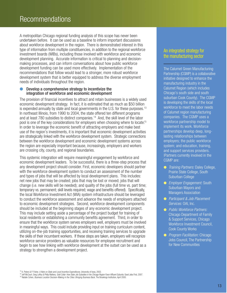A metropolitan Chicago regional funding analysis of this scope has never been undertaken before. It can be used as a baseline to inform important discussions about workforce development in the region. There is demonstrated interest in this type of information from multiple constituencies, in addition to the regional workforce investment boards (WIBs), including those involved with workforce and economic development planning. Accurate information is critical to planning and decisionmaking processes, and can inform conversations about how public workforce development funding can be used more effectively. Implementation of the recommendations that follow would lead to a stronger, more robust workforce development system that is better equipped to address the diverse employment needs of individuals throughout the region.

#### Develop a comprehensive strategy to incentivize the integration of workforce and economic development

The provision of financial incentives to attract and retain businesses is a widely used economic development strategy. In fact, it is estimated that as much as \$50 billion is expended annually by state and local governments in the U.S. for these purposes.<sup>13</sup> In northeast Illinois, from 1990 to 2004, the state offered ten different programs and at least 780 subsidies to distinct companies.<sup>14</sup> And, the skill level of the labor pool is one of the key considerations for employers when choosing where to locate.<sup>15</sup> In order to leverage the economic benefit of attracting employers and make best use of the region's investments, it is important that economic development activities are strategically linked with the workforce development system. Strategic connections between the workforce development and economic development systems across the region are especially important because, increasingly, employers and workers are crossing city, county, and regional boundaries.

This systemic integration will require meaningful engagement by workforce and economic development leaders. To be successful, there is a three-step process that any development project should consider. First, economic developers should partner with the workforce development system to conduct an assessment of the number and types of jobs that will be affected by local development plans. This includes: net new jobs that may be created; jobs that may be lost or moved; jobs that will change (i.e. new skills will be needed); and quality of the jobs (full time vs. part time; temporary vs. permanent; skill levels required; wage and benefits offered). Specifically, the local Workforce Investment Act (WIA) system infrastructure should be leveraged to conduct the workforce assessment and advance the needs of employers attached to economic development strategies. Second, workforce development components should be included at the beginning stages of any economic development project. This may include setting aside a percentage of the project budget for training of local residents or establishing a community benefits agreement. Third, in order to ensure that the workforce system serves employers well, employers must be involved in meaningful ways. This could include providing input on training curriculum content, utilizing on-the-job training opportunities, and receiving training services to upgrade the skills of their incumbent workers. If these steps are taken, employers will recognize workforce service providers as valuable resources for employee recruitment and begin to see how linking with workforce development at the outset can be used as a strategy to strengthen a development project.

## An integrated strategy for the manufacturing sector

The Calumet Green Manufacturing Partnership (CGMP) is a collaborative initiative designed to enhance the manufacturing industry in the Calumet Region (which includes Chicago's south side and south suburban Cook County). The CGMP is developing the skills of the local workforce to meet the labor needs of Calumet region manufacturing companies. The CGMP uses a workforce partnership model to implement its work. Workforce partnerships develop deep, longlasting relationships between employers; the public workforce system; and education, training, and support services providers. |Partners currently involved in the CGMP are:

- Training Partners: Daley College, Prairie State College, South Suburban College
- **•** Employer Engagement: South Suburban Mayors and Managers Association
- Participant & Job Placement Services: OAI, Inc.
- Public Workforce Partners: Chicago Department of Family & Support Services, Chicago Workforce Investment Council, Cook County Works
- **•** Program Facilitation: Chicago Jobs Council, The Partnership for New Communities

<sup>13</sup> A. Peters & P. Fisher, *A Note on State and Local Incentive Expenditures,* University of Iowa, 2002.<br><sup>14</sup> Jeff McCourt, Greg LeRoy & Philip Mattera, *Gold Collar: How State Job Subsidies in the Chicago Region Favor Af* 

<sup>&</sup>lt;sup>15</sup> Natalie Cohen, Business Location Decision-Making in the Cities: Bringing Business Back, The Brookings Institution, April 2000.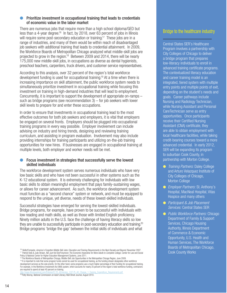#### Prioritize investment in occupational training that leads to credentials of economic value in the labor market

There are numerous jobs that require more than a high school diploma/GED but less than a 4-year degree.<sup>16</sup> In fact, by 2018, over  $63$  percent of jobs in Illinois will require some post-secondary education or training.<sup>17</sup> These jobs are in a range of industries, and many of them would be within reach of disadvantaged job seekers with additional training that leads to credential attainment. In 2009, the Workforce Boards of Metropolitan Chicago analyzed what middle-skill jobs are projected to grow in the region.<sup>18</sup> Between 2009 and 2014, there will be nearly 175,000 new middle-skill jobs, in occupations as diverse as dental hygienists, preschool teachers, carpenters, truck drivers, and customer service representatives.

According to this analysis, over 32 percent of the region's total workforce development funding is used for occupational training.<sup>19</sup> At a time when there is increasing importance on skill attainment, the public workforce system needs to simultaneously prioritize investment in occupational training while focusing this investment on training in high-demand industries that will lead to employment. Concurrently, it is important to support the development of appropriate on-ramps – such as bridge programs (see recommendation 3) – for job seekers with lower skill levels to prepare for and enter these occupations.

In order to ensure that investments in occupational training lead to the most effective outcomes for both job seekers and employers, it is vital that employers be engaged on several fronts. Employers should be plugged into occupational training programs in every way possible. Employer involvement can include advising on industry and hiring trends, designing and reviewing training curriculum, and assisting in program evaluation. Involvement may also include providing internships for training participants and utilizing on-the-job training opportunities for new hires. If businesses are engaged in occupational training at multiple levels, both employer and worker needs will be met.

#### Focus investment in strategies that successfully serve the lowest skilled individuals

The workforce development system serves numerous individuals who have very low basic skills and who have not been successful in other systems such as the K-12 educational system. It is extremely challenging for individuals with low basic skills to obtain meaningful employment that pays family-sustaining wages, or allows for career advancement. As such, the workforce development system must function as a "second chance" system or network, and must be equipped to respond to the unique, yet diverse, needs of these lowest-skilled individuals.

Successful strategies have emerged for serving the lowest-skilled individuals. Bridge programs, for example, have proven to be successful with individuals with low reading and math skills, as well as those with limited English proficiency. Ninety million adults in the U.S. face the challenge of having literacy skills so low they are unable to successfully participate in post-secondary education and training.<sup>20</sup> Bridge programs 'bridge the gap' between the initial skills of individuals and what

## Bridge to the healthcare industry

Central States SER's Healthcare Program involves a partnership with City Colleges of Chicago to deliver a bridge program that prepares low-literacy individuals to enroll in advanced training certificate programs. The contextualized literacy education and career training model is an integrated, tiered system with multiple entry points and multiple points of exit, depending on the student's needs and goals. Career pathways include Nursing and Radiology Technician, while Nursing Assistant and Personal CareTechnician serve as entry opportunities. Once participants receive their Certified Nursing Assistant (CNA) certificate, they are able to obtain employment with local healthcare facilities, while taking credit-bearing courses toward a more advanced credential. In early 2012, SER will be expanding its program to suburban Cook County, in partnership with Morton College.

- **Training Partners: Daley College** and Arturo Velazquez Institute of City Colleges of Chicago, Morton College
- *Employer Partners:* St. Anthony's Hospital, MacNeal Hospital, Vitas Hospice and many others
- **Participant & Job Placement** Services: Central States SER
- *Public Workforce Partners:* Chicago Department of Family & Support Services, Chicago Housing Authority, Illinois Department of Commerce & Economic Opportunity, U.S. Health and Human Services, The Workforce Boards of Metropolitan Chicago, Cook County Works

<sup>&</sup>lt;sup>16</sup> Skills2Compete, America's Forgotten Middle Skill Jobs: Education and Training Requirements in the Next Decade and Beyond, November 2007.<br><sup>17</sup> Patrick Kelly & Julie Strawn, Not Just Kid Stuff Anymore: The Economic Impe Policy & National Center for Higher Education Management Systems, June 2011.<br><sup>18</sup> The Workforce Boards of Metropolitan Chicago, Middle-Skill Job Opportunities in the Metropolitan Chicago Region, June 2009.

<sup>&</sup>lt;sup>19</sup> It is important to note that some program funds cannot be used for occupational training, as the funding stream designates other workforce development services as the sole priority. On the other hand, some programs use a much higher percentage of their funding for occupational training. For example, in the Workforce Investment Act (WIA) system, which accounts for nearly 25 percent of the region's total workforce funding, contractors are required to spend at least 40 percent on training.

http://www.illinoisworknet.com/Policies/07-PL-40/version\_1/07-PL-40\_Change\_1-Trainin<br><sup>20</sup> Patty Murray, *National Commission on Adult Literacy*, Wall Street Journal, August 2010.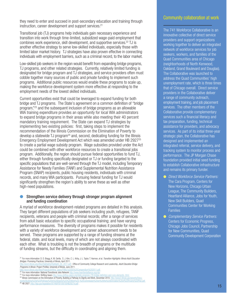they need to enter and succeed in post-secondary education and training through instruction, career development and support services.<sup>21</sup>

Transitional job (TJ) programs help individuals gain necessary experience and transition into work through time-limited, subsidized wage-paid employment that combines work experience, skill development, and supportive services.<sup>22</sup> TJ is another effective strategy to serve low-skilled individuals, especially those with limited labor market history. TJ strategies have also proven effective in connecting individuals with employment barriers, such as a criminal record, to the labor market.

Low-skilled job seekers in the region would benefit from expanding bridge programs, TJ programs, and other related strategies. Currently, relatively limited funding is designated for bridge program and TJ strategies, and service providers often must cobble together many sources of public and private funding to implement such programs. Additional public resources would enable these programs to scale up, making the workforce development system more effective at responding to the employment needs of the lowest skilled individuals.

Current opportunities exist that could be leveraged to expand funding for both bridge and TJ programs. The State's agreement on a common definition of "bridge program,"23 and the subsequent inclusion of bridge programs as an allowable WIA training expenditure provides an opportunity for local WIA administrators to expand bridge programs in their areas while also meeting their 40 percent mandatory training requirement. The State can expand TJ strategies by implementing two existing policies: first, taking steps to implement the recommendation of the Illinois Commission on the Elimination of Poverty to  $develop a statewide JJ program<sup>24</sup> and, second, dedicating funding for the Illinois$ Emergency Employment Development Act which was amended under HB 292725 to create a partial wage subsidy program. Wage subsidies provided under the Act could be combined with other workforce resources to create a transitional jobs program. Additionally, the region should pursue federal opportunities to fund TJ, either through funding specifically designated or TJ or funding targeted to the specific populations that are well-served through the TJ model, including Temporary Assistance for Needy Families (TANF) and Supplemental Nutrition Assistance Program (SNAP) recipients, public housing residents, individuals with criminal records, and many WIA participants. Pursuing federal funding for TJ would significantly strengthen the region's ability to serve these as well as other high-need populations.

#### Strengthen service delivery through stronger program alignment and funding coordination

A myriad of workforce development-related programs are detailed in this analysis. They target different populations of job seekers including youth, refugees, TANF recipients, veterans and people with criminal records; offer a range of services from adult basic education to specific occupational training; and have varying performance measures. The diversity of programs makes it possible for residents with a variety of workforce development and career advancement needs to be served. These programs are supported by a range of funding streams at the federal, state, and local levels, many of which are not always coordinated with each other. What is troubling is not the breadth of programs or the multitude of funding streams, but the difficulty in coordinating and aligning them.

## Community collaboration at work

The 741 Workforce Collaborative is an innovative collective of direct service providers and support organizations working together to deliver an integrated network of workforce services for job seekers, workers, and families of the Quad Communities area of Chicago (neighborhoods of North Kenwood, Oakland, Grand Boulevard and Douglas). The Collaborative was launched to address the Quad Communities' high unemployment rate, which is three times that of Chicago overall. Direct service providers in the Collaborative deliver a range of community outreach, employment training, and job placement services. The other members of the Collaborative provide complementary services such a financial literacy and tax preparation, funding, technical assistance for providers, and advocacy services. As part of its initial three-year strategic plan, the Collaborative has designed and implemented an integrated referral, service delivery, and tracking system to monitor process and performance. The JP Morgan Chase foundation provided initial seed funding to establish Collaborative infrastructure and remains its primary funder.

- **.** Direct Workforce Service Partners: The Cara Program, Centers for New Horizons, Chicago Urban League, The Community Builders, Heartland Alliance, Jobs for Youth, New Skill Builders, Quad Communities Center for Working Families
- **Complementary Service Partners:** Centers for Economic Progress, Chicago Jobs Council, Partnership for New Communities, Quad Community Development Corporation

<sup>&</sup>lt;sup>21</sup> For more information: D. D. Bragg, K. M. Oertle, S. J. Kim, C. L. Kirby, J. L. Taylor, T. Harmon, et al. Transition Highlights: Illinois Adult Education Bridges: Promising Practices, University of Illinois, April 2011.

nn zorn.<br><u>2011.pdf</u> ; Office of Community College Research and Leadership, *Adult Education Bridge* Programs in Illinois: Project Profiles, University of Illinois, June 2011.<br>http://occri.illinois.edu/files/Projects/shifting\_gears/FINAL%20SG%20Compendium%202011.odf

http://occrl.illinois.edu/files/Projects/shifting\_gears/FINAL%20SG%20Compendium%202011.pdf<br><sup>22</sup> For more information: National Transitional Jobs Network <u>http:</u>//www.heartlandalliance.org/nt<u>in</u>

<sup>24</sup> Illinois Commission on the Elimination of Poverty, Building a Pathway to Dignity and Work, December 2010. http://www.shifting-gears.org/state-progress-/78-bridge-definition-and-core-elements-.html<br><sup>24</sup> Illinois Commissi

ments/Building%20a%20Pathway%20to%20Dignity%20%20Work%20-%20Commission%20on%20the%20Elimnation%20of%20Poverty%20Plan.pdf<br><sup>25</sup> **HB 2927:** http://ilga.gov/legislation/97/HB/PDF/09700HB2927lv.pdf .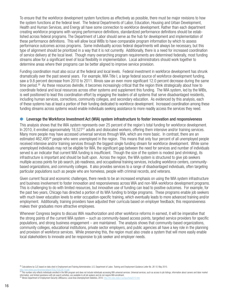To ensure that the workforce development system functions as effectively as possible, there must be major revisions to how the system functions at the federal level. The federal Departments of Labor, Education, Housing and Urban Development, Health and Human Services, and Energy all have some connection to workforce development. Rather than each department creating workforce programs with varying performance definitions, standardized performance definitions should be established across federal programs. The Department of Labor should serve as the hub for development and implementation of these performance definitions. This will allow local WIBs to have comparable program information by which to assess performance outcomes across programs. Some individuality across federal departments will always be necessary, but this type of alignment should be prioritized in a way that it is not currently. Additionally, there is a need for increased coordination of service delivery at the local level. Though many overarching program requirements are determined federally, most funding streams allow for a significant level of local flexibility in implementation. Local administrators should work together to determine areas where their programs can be better aligned to improve service provision.

Funding coordination must also occur at the federal and local levels. Federal investment in workforce development has shrunk dramatically over the past several years. For example, WIA Title I, a large federal source of workforce development funding, saw a 9.8 percent decrease from 2010 to 2011. Illinois saw an even more significant 12.0 percent decrease during the same time period.<sup>26</sup> As these resources dwindle, it becomes increasingly critical that the region think strategically about how to coordinate federal and local resources across other systems and supplement this funding. The WIA system, led by the WIBs, is well positioned to lead this coordination effort by engaging the leaders of all systems that serve disadvantaged residents, including human services, corrections, community colleges, and secondary education. As evidenced by this analysis, each of these systems has at least a portion of their funding dedicated to workforce development. Increased coordination among these funding streams across systems would enable individuals seeking assistance to more readily access the services they need.

#### l Leverage the Workforce Investment Act (WIA) system infrastructure to foster innovation and responsiveness

This analysis shows that the WIA system represents over 25 percent of the region's total funding for workforce development. In 2010, it enrolled approximately  $18,527^{27}$  adults and dislocated workers, offering them intensive and/or training services. Many more people may have accessed universal services through WIA, which are more basic. In contrast, there are an estimated 462,495<sup>28</sup> people who were unemployed in the region. This means that only four percent of all unemployed people received intensive and/or training services through the biggest single funding stream for workforce development. While some unemployed individuals may not be eligible for WIA, the significant gap between the need for services and number of individuals served is an indicator that current WIA funding is insufficient. Though the size of the system is modest (and shrinking), its infrastructure is important and should be built upon. Across the region, the WIA system is structured to give job seekers multiple access points for job search, job readiness, and occupational training services, including workforce centers, communitybased organizations, and community colleges. It also provides services to a range of disadvantaged individuals, often targeting particular populations such as people who are homeless, people with criminal records, and veterans.

Given current fiscal and economic challenges, there needs to be an increased emphasis on using the WIA system infrastructure and business involvement to foster innovation and responsiveness across WIA and non-WIA workforce development programs. This is challenging to do with limited resources, but innovative use of funding can lead to positive outcomes. For example, for the past two years, Chicago has directed a portion of its WIA funding to bridge programs. These programs enable job seekers with much lower education levels to enter occupation-specific training, which eventually leads to more advanced training and/or employment. Additionally, training providers have adjusted their curricula based on employer feedback; this responsiveness makes their graduates more attractive employees.

Whenever Congress begins to discuss WIA reauthorization and other workforce reforms in earnest, it will be imperative that the strong points of the current WIA system – such as community-based access points, targeted service providers for specific populations, and strong business engagement – are maintained. The analysis shows that community-based organizations, community colleges, educational institutions, private sector employers, and public agencies all have a key role in the planning and provision of workforce services. While preserving this, the region must also create a system that will more easily enable local stakeholders to innovate and be responsive to job seeker and employer needs.

information, and limited assistance with job search activities, are available to all job seekers and do not require WIA enrollment.<br><sup>28</sup> Illinois Department of Employment Security LMISource, Local Area Unemployment Statist

<sup>&</sup>lt;sup>26</sup> Calculations by CJC based on data cited in Employment and Training Administration, U.S. Department of Labor, Training and Employment Guidance Letter No. 26-10, May 2010.

http://wdr.doleta.gov/directives/attach/TEGL/TEGL/TEGL26-10.pdf<br><sup>27</sup> This number only reflects individuals enrolled in the WIA program and does not include individuals accessing WIA universal services. Universal services,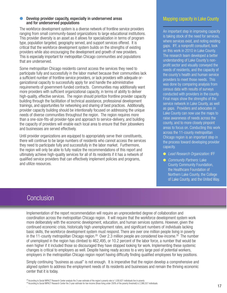#### Develop provider capacity, especially in underserved areas and for underserved populations

The workforce development system is a diverse network of frontline service providers ranging from small community-based organizations to large educational institutions. This provider diversity is an asset as it allows for specialization in terms of program type, population targeted, geography served, and support services offered. It is critical that the workforce development system builds on the strengths of existing providers while also encouraging the development and growth of new providers. This is especially important for metropolitan Chicago communities and populations that are underserved.

Some metropolitan Chicago residents cannot access the services they need to participate fully and successfully in the labor market because their communities lack a sufficient number of frontline service providers, or lack providers with adequate organizational capacity to successfully apply for and handle the administrative requirements of government-funded contracts. Communities may additionally want more providers with sufficient organizational capacity, in terms of ability to deliver high-quality, effective services. The region should prioritize frontline provider capacity building through the facilitation of technical assistance, professional development trainings, and opportunities for networking and sharing of best practices. Additionally, provider capacity building should be intentionally focused on addressing the unique needs of diverse communities throughout the region. The region requires more than a one-size-fits-all provider-type and approach to service-delivery, and building the capacity of providers will enable each local area to ensure that their jobseekers and businesses are served effectively.

Until provider organizations are equipped to appropriately serve their constituents, there will continue to be large numbers of residents who cannot access the services they need to participate fully and successfully in the labor market. Furthermore, the region will only be able to fully realize the recommendations of this report and ultimately achieve high-quality services for all of its residents if it has a network of qualified service providers that can effectively implement policies and programs, and utilize resources.

## Mapping capacity in Lake County

An important step in improving capacity is taking stock of the need for services, where services exist, and noting existing gaps. IFF, a nonprofit consultant, took on this work in 2010 in Lake County. The research team developed a better understanding of Lake County's nonprofit sector and visually conveyed the needs of residents, and the capacity of the county's health and human service providers to meet those needs. This was done by comparing analysis from census data with results of surveys conducted with providers in the county. Final maps show the strengths of the service network in Lake County, as well as gaps. Providers and advocates in Lake County can now use the maps to raise awareness of needs across the county, and to more closely pinpoint areas to focus on. Conducting this work across the 11-county metropolitan Chicago region is an important step in the process toward developing provider capacity.

- **E** Lead Research Organization: IFF
- **Community Partners: Lake** County Community Foundation, the Healthcare Foundation of Northern Lake County, the College of Lake County, and the United Way.

## **Conclusion**

.

Implementation of the report recommendation will require an unprecedented degree of collaboration and coordination across the metropolitan Chicago region. It will require that the workforce development system work more deliberately with the economic development, education, and human services systems. However, given the continued economic crisis, historically high unemployment rates, and significant numbers of individuals lacking basic skills, the workforce development system must respond. There are over one million people living in poverty in the 11-county metropolitan Chicago region.<sup>29</sup> Over 2.3 million people are considered low-income.<sup>30</sup> The number of unemployed in the region has climbed to 462,495, or 10.2 percent of the labor force, a number that would be even higher if it included those so discouraged they have stopped looking for work. Implementing these systemic changes is critical to employers as well. Despite having ready access to a very large pool of potential workers, employers in the metropolitan Chicago region report having difficulty finding qualified employees for key positions.

Simply continuing "business as usual" is not enough. It is imperative that the region develop a comprehensive and aligned system to address the employment needs of its residents and businesses and remain the thriving economic center that it is today.

<sup>&</sup>lt;sup>29</sup> According to Social IMPACT Research Center analysis the 3-year estimate of the region's poverty rate is 1,030,621 individuals live in poverty<br><sup>30</sup> According to Social IMPACT Research Center the 3-year estimate for low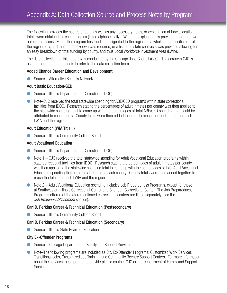The following provides the source of data, as well as any necessary notes, or explanation of how allocation totals were obtained for each program (listed alphabetically). When no explanation is provided, there are two potential reasons. Either the program has funding designated to the region as a whole, or a specific part of the region only, and thus no breakdown was required, or a list of all state contracts was provided allowing for an easy breakdown of total funding by county, and thus Local Workforce Investment Area (LWIA).

The data collection for this report was conducted by the Chicago Jobs Council (CJC). The acronym CJC is used throughout the appendix to refer to the data collection team.

#### Added Chance Career Education and Development

● Source – Alternative Schools Network

#### Adult Basic Education/GED

- Source Illinois Department of Corrections (IDOC)
- l Note–CJC received the total statewide spending for ABE/GED programs within state correctional facilities from IDOC. Research stating the percentages of adult inmates per county was then applied to the statewide spending total to come up with the percentages of total ABE/GED spending that could be attributed to each county. County totals were then added together to reach the funding total for each LWIA and the region.

#### Adult Education (WIA Title II)

l Source – Illinois Community College Board

#### Adult Vocational Education

- Source Illinois Department of Corrections (IDOC)
- Note  $1 -$  CJC received the total statewide spending for Adult Vocational Education programs within state correctional facilities from IDOC. Research stating the percentages of adult inmates per county was then applied to the statewide spending total to come up with the percentages of total Adult Vocational Education spending that could be attributed to each county. County totals were then added together to reach the totals for each LWIA and the region.
- Note 2 Adult Vocational Education spending includes Job Preparedness Programs, except for those at Southwestern Illinois Correctional Center and Sheridan Correctional Center. The Job Preparedness Programs offered at the aforementioned correctional centers are listed separately (see the Job Readiness/Placement section).

#### Carl D. Perkins Career & Technical Education (Postsecondary)

● Source – Illinois Community College Board

### Carl D. Perkins Career & Technical Education (Secondary)

 $\bullet$  Source – Illinois State Board of Education

#### City Ex-Offender Programs

- Source Chicago Department of Family and Support Services
- l Note–The following programs are included as City Ex-Offender Programs: Customized Work Services, Transitional Jobs, Customized Job Training, and Community Reentry Support Centers. For more information about the services these programs provide please contact CJC or the Department of Family and Support Services.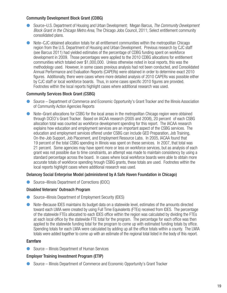## Community Development Block Grant (CDBG)

- Source–U.S. Department of Housing and Urban Development; Megan Barcus, The Community Development Block Grant in the Chicago Metro Area, The Chicago Jobs Council, 2011; Select entitlement community consolidated plans.
- l Note–CJC obtained allocation totals for all entitlement communities within the metropolitan Chicago region from the U.S. Department of Housing and Urban Development. Previous research by CJC staff (see Barcus 2011) had yielded estimates of the percentage of CDBG funding spent on workforce development in 2009. Those percentages were applied to the 2010 CDBG allocations for entitlement communities which totaled over \$1,000,000. Unless otherwise noted in local reports, this was the methodology used. However, in some cases previous analysis had not been conducted, and Consolidated Annual Performance and Evaluation Reports (CAPERs) were obtained in order to determine exact 2010 figures. Additionally, there were cases where more detailed analysis of 2010 CAPERs was possible either by CJC staff or local workforce boards. Thus, in some cases specific 2010 figures are provided. Footnotes within the local reports highlight cases where additional research was used.

### Community Services Block Grant (CSBG)

- l Source Department of Commerce and Economic Opportunity's Grant Tracker and the Illinois Association of Community Action Agencies Reports
- l Note–Grant allocations for CSBG for the local areas in the metropolitan Chicago region were obtained through DCEO's Grant Tracker. Based on IACAA research (2005 and 2008), 20 percent of each CSBG allocation total was counted as workforce development spending for this report. The IACAA research explains how education and employment services are an important aspect of the CSBG services. The education and employment services offered under CSBG can include GED Preparation, Job Training, On-the-Job Support, Job Placement, and Employment Resource Labs. In 2005, IACAA found that 19 percent of the total CSBG spending in Illinois was spent on these services. In 2007, that total was 21 percent. Some agencies may have spent more or less on workforce services, but as analysis of each grant was not possible due to time constraints, an attempt was made to maintain consistency by using a standard percentage across the board. In cases where local workforce boards were able to obtain more accurate totals of workforce spending hrough CSBG grants, these totals are used. Footnotes within the local reports highlight cases where additional research was used.

### Delancey Social Enterprise Model (administered by A Safe Haven Foundation in Chicago)

● Source–Illinois Department of Corrections (IDOC)

### Disabled Veterans' Outreach Program

- l Source–Illinois Department of Employment Security (IDES)
- l Note–Because IDES maintains its budget data on a statewide level, estimates of the amounts directed toward each LWIA were created by using Full Time Equivalents (FTEs) received from IDES. The percentage of the statewide FTEs allocated to each IDES office within the region was calculated by dividing the FTEs at each local office by the statewide FTE total for the program. The percentage for each office was then applied to the statewide funding total for the program to come up with estimated funding totals by office. Spending totals for each LWIA were calculated by adding up all the office totals within a county. The LWIA totals were added together to come up with an estimate of the regional total listed in the body of this report.

### Earnfare

● Source – Illinois Department of Human Services

## Employer Training Investment Program (ETIP)

● Source – Illinois Department of Commerce and Economic Opportunity's Grant Tracker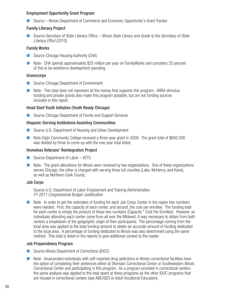### Employment Opportunity Grant Program

● Source – Illinois Department of Commerce and Economic Opportunity's Grant Tracker

#### Family Literacy Project

Source-Secretary of State Literacy Office – *Illinois State Library and Guide to the Secretary of State* Literacy Effort (2010)

#### Family Works

- Source-Chicago Housing Authority (CHA)
- Note- CHA spends approximately \$25 million per year on FamilyWorks and considers 25 percent of this to be workforce development spending.

#### **Greencorps**

- **Source-Chicago Department of Environment**
- $\bullet$  Note- This total does not represent all the money that supports this program. ARRA stimulus funding and private grants also make this program possible, but are not funding sources included in this report.

### Head Start Youth Initiative (Youth Ready Chicago)

● Source-Chicago Department of Family and Support Services

#### Hispanic-Serving Institutions Assisting Communities

- Source-U.S. Department of Housing and Urban Development
- Note-Elgin Community College received a three-year grant in 2009. The grant total of \$600,000 was divided by three to come up with the one-year total listed.

#### Homeless Veterans' Reintegration Project

- Source-Department of Labor VETS
- l Note- The grant allocations for Illinois were received by two organizations. One of these organizations serves Chicago, the other is charged with serving three full counties (Lake, McHenry, and Kane), as well as Northern Cook County.

#### Job Corps

Source-U.S. Department of Labor Employment and Training Administration FY 2011 Congressional Budget Justification

**•** Note- In order to get the estimates of funding for each Job Corps Center in the region two numbers were needed. First, the capacity of each center, and second, the cost per enrollee. The funding total for each center is simply the product of these two numbers (Capacity \* Cost Per Enrollee). However, as individuals attending each center come from all over the Midwest, it was necessary to obtain from both centers a breakdown of the geographic origin of their participants. The percentage coming from the local area was applied to the total funding amount to obtain an accurate amount of funding dedicated to the local area. A percentage of funding dedicated to Illinois was also determined using the same method. This total is listed in the reports to give additional context to the reader.

#### Job Preparedness Program

- **C** Source-Illinois Department of Corrections (IDOC)
- l Note- Incarcerated individuals with self-reported drug addictions in Illinois correctional facilities have the option of completing their sentences either at Sheridan Correctional Center or Southwestern Illinois Correctional Center and participating in this program. As a program provided in correctional centers the same analysis was applied to the total spent at these programs as the other IDOC programs that are housed in correctional centers (see ABE/GED or Adult Vocational Education).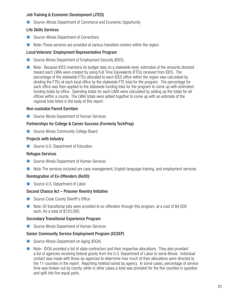## Job Training & Economic Development (JTED)

● Source–Illinois Department of Commerce and Economic Opportunity

## Life Skills Services

- Source–Illinois Department of Corrections
- l Note–These services are provided at various transition centers within the region.

## Local Veterans' Employment Representative Program

- **C** Source-Illinois Department of Employment Security (IDES)
- **IDED** Note-Because IDES maintains its budget data on a statewide level, estimates of the amounts directed toward each LWIA were created by using Full Time Equivalents (FTEs) received from IDES. The percentage of the statewide FTEs allocated to each IDES office within the region was calculated by dividing the FTEs at each local office by the statewide FTE total for the program. The percentage for each office was then applied to the statewide funding total for the program to come up with estimated funding totals by office. Spending totals for each LWIA were calculated by adding up the totals for all offices within a county. The LWIA totals were added together to come up with an estimate of the regional total listed in the body of this report.

## Non-custodial Parent Earnfare

**C** Source-Illinois Department of Human Services

## Partnerships for College & Career Success (Formerly TechPrep)

**C** Source-Illinois Community College Board

## Projects with Industry

● Source-U.S. Department of Education

### Refugee Services

- **C** Source-Illinois Department of Human Services
- **•** Note-The services included are case management, English language training, and employment services.

## Reintegration of Ex-Offenders (ReXO)

● Source-U.S. Department of Labor

## Second Chance Act – Prisoner Reentry Initiative

- Source-Cook County Sheriff's Office
- lacktriangleright Note-30 transitional jobs were provided to ex-offenders through this program, at a cost of \$4,000 each, for a total of \$120,000.

## Secondary Transitional Experience Program

● Source-Illinois Department of Human Services

## Senior Community Service Employment Program (SCSEP)

- Source-Illinois Department on Aging (IDOA)
- **•** Note- IDOA provided a list of state contractors and their respective allocations. They also provided a list of agencies receiving federal grants from the U.S. Department of Labor to serve Illinois. Individual contact was made with those six agencies to determine how much of their allocations were directed to the 11-counties in the report. Reporting method varied by agency. In some cases, percentage of service time was broken out by county, while in other cases a total was provided for the five counties in question and split into five equal parts.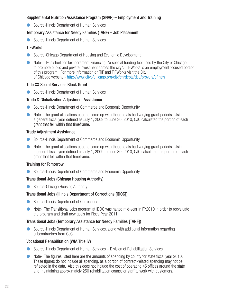### Supplemental Nutrition Assistance Program (SNAP) – Employment and Training

● Source-Illinois Department of Human Services

## Temporary Assistance for Needy Families (TANF) – Job Placement

**C** Source-Illinois Department of Human Services

## **TIFWorks**

- Source-Chicago Department of Housing and Economic Development
- **ID Note- TIF is short for Tax Increment Financing, "a special funding tool used by the City of Chicago** to promote public and private investment across the city". TIFWorks is an employment focused portion of this program. For more information on TIF and TIFWorks visit the City of Chicago website - http://www.cityofchicago.org/city/en/depts/dcd/provdrs/tif.html.

## Title XX Social Services Block Grant

**C** Source-Illinois Department of Human Services

## Trade & Globalization Adjustment Assistance

- **Source-Illinois Department of Commerce and Economic Opportunity**
- $\bullet$  Note-The grant allocations used to come up with these totals had varying grant periods. Using a general fiscal year defined as July 1, 2009 to June 30, 2010, CJC calculated the portion of each grant that fell within that timeframe.

## Trade Adjustment Assistance

- Source-Illinois Department of Commerce and Economic Opportunity
- $\bullet$  Note- The grant allocations used to come up with these totals had varying grant periods. Using a general fiscal year defined as July 1, 2009 to June 30, 2010, CJC calculated the portion of each grant that fell within that timeframe.

## Training for Tomorrow

**C** Source-Illinois Department of Commerce and Economic Opportunity

## Transitional Jobs (Chicago Housing Authority)

● Source-Chicago Housing Authority

## Transitional Jobs (Illinois Department of Corrections [IDOC])

- **C** Source-Illinois Department of Corrections
- **•** Note- The Transitional Jobs program at IDOC was halted mid-year in FY2010 in order to reevaluate the program and draft new goals for Fiscal Year 2011.

## Transitional Jobs (Temporary Assistance for Needy Families [TANF])

Source-Illinois Department of Human Services, along with additional information regarding subcontractors from CJC

### Vocational Rehabilitation (WIA Title IV)

- Source-Illinois Department of Human Services Division of Rehabilitation Services
- Note- The figures listed here are the amounts of spending by county for state fiscal year 2010. These figures do not include all spending, as a portion of contract-related spending may not be reflected in the data. Also this does not include the cost of operating 45 offices around the state and maintaining approximately 250 rehabilitation counselor staff to work with customers.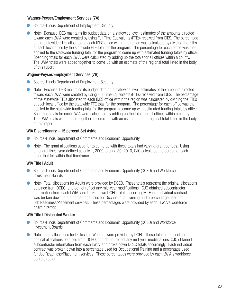## Wagner-Peyser/Employment Services (7A)

- Source-Illinois Department of Employment Security
- $\bullet$  Note- Because IDES maintains its budget data on a statewide level, estimates of the amounts directed toward each LWIA were created by using Full Time Equivalents (FTEs) received from IDES. The percentage of the statewide FTEs allocated to each IDES office within the region was calculated by dividing the FTEs at each local office by the statewide FTE total for the program. The percentage for each office was then applied to the statewide funding total for the program to come up with estimated funding totals by office. Spending totals for each LWIA were calculated by adding up the totals for all offices within a county. The LWIA totals were added together to come up with an estimate of the regional total listed in the body of this report.

#### Wagner-Peyser/Employment Services (7B)

- **C** Source-Illinois Department of Employment Security
- **IDED** Note-Because IDES maintains its budget data on a statewide level, estimates of the amounts directed toward each LWIA were created by using Full Time Equivalents (FTEs) received from IDES. The percentage of the statewide FTEs allocated to each IDES office within the region was calculated by dividing the FTEs at each local office by the statewide FTE total for the program. The percentage for each office was then applied to the statewide funding total for the program to come up with estimated funding totals by office. Spending totals for each LWIA were calculated by adding up the totals for all offices within a county. The LWIA totals were added together to come up with an estimate of the regional total listed in the body of this report.

## WIA Discretionary – 15 percent Set Aside

- l Source-Illinois Department of Commerce and Economic Opportunity
- Note- The grant allocations used for to come up with these totals had varying grant periods. Using a general fiscal year defined as July 1, 2009 to June 30, 2010, CJC calculated the portion of each grant that fell within that timeframe.

### WIA Title I Adult

- Source-Illinois Department of Commerce and Economic Opportunity (DCEO) and Workforce Investment Boards
- Note- Total allocations for Adults were provided by DCEO. These totals represent the original allocations obtained from DCEO, and do not reflect any mid-year modifications. CJC obtained subcontractor information from each LWIA, and broke down DCEO totals accordingly. Each individual contract was broken down into a percentage used for Occupational Training and a percentage used for Job Readiness/Placement services. These percentages were provided by each LWIA's workforce board director.

### WIA Title I Dislocated Worker

- Source-Illinois Department of Commerce and Economic Opportunity (DCEO) and Workforce Investment Boards
- **•** Note- Total allocations for Dislocated Workers were provided by DCEO. These totals represent the original allocations obtained from DCEO, and do not reflect any mid-year modifications. CJC obtained subcontractor information from each LWIA, and broke down DCEO totals accordingly. Each individual contract was broken down into a percentage used for Occupational Training and a percentage used for Job Readiness/Placement services. These percentages were provided by each LWIA's workforce board director.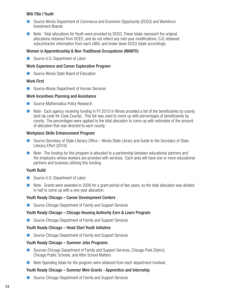#### WIA Title I Youth

- l Source-Illinois Department of Commerce and Economic Opportunity (DCEO) and Workforce Investment Boards
- **In** Note- Total allocations for Youth were provided by DCEO. These totals represent the original allocations obtained from DCEO, and do not reflect any mid-year modifications. CJC obtained subcontractor information from each LWIA, and broke down DCEO totals accordingly.

#### Women in Apprenticeship & Non-Traditional Occupations (WANTO)

● Source-U.S. Department of Labor

#### Work Experience and Career Exploration Program

**C** Source-Illinois State Board of Education

#### Work First

**C** Source-Illinois Department of Human Services

#### Work Incentives Planning and Assistance

- Source-Mathematica Policy Research
- Note- Each agency receiving funding in FY 2010 in Illinois provided a list of the beneficiaries by county (and zip code for Cook County). This list was used to come up with percentages of beneficiaries by county. The percentages were applied to the total allocation to come up with estimates of the amount of allocation that was directed to each county.

#### Workplace Skills Enhancement Program

- Source-Secretary of State Literacy Office Illinois State Library and Guide to the Secretary of State Literacy Effort (2010)
- **In** Note- The funding for this program is allocated to a partnership between educational partners and the employers whose workers are provided with services. Each area will have one or more educational partners and business utilizing this funding.

### Youth Build

- Source-U.S. Department of Labor
- **ID Note- Grants were awarded in 2009 for a grant period of two years, so the total allocation was divided** in half to come up with a one-year allocation.

### Youth Ready Chicago – Career Development Centers

Source-Chicago Department of Family and Support Services

#### Youth Ready Chicago – Chicago Housing Authority Earn & Learn Program

**C** Source-Chicago Department of Family and Support Services

### Youth Ready Chicago – Head Start Youth Initiative

**C** Source-Chicago Department of Family and Support Services

#### Youth Ready Chicago – Summer Jobs Programs

- Sources-Chicago Department of Family and Support Services, Chicago Park District, Chicago Public Schools, and After School Matters
- **•** Note-Spending totals for the program were obtained from each department involved.

### Youth Ready Chicago – Summer Mini-Grants - Apprentice and Internship

● Source-Chicago Department of Family and Support Services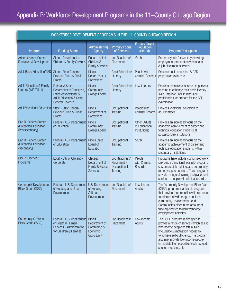| WORKFORCE DEVELOPMENT PROGRAMS IN THE 11-COUNTY CHICAGO REGION     |                                                                                                                                         |                                                                           |                                                           |                                                  |                                                                                                                                                                                                                                                                                                                 |
|--------------------------------------------------------------------|-----------------------------------------------------------------------------------------------------------------------------------------|---------------------------------------------------------------------------|-----------------------------------------------------------|--------------------------------------------------|-----------------------------------------------------------------------------------------------------------------------------------------------------------------------------------------------------------------------------------------------------------------------------------------------------------------|
| Program                                                            | <b>Funding Source</b>                                                                                                                   | Administering<br>Agency                                                   | <b>Primary Focus</b><br>of Services                       | <b>Primary Target</b><br>Population<br>(Stated)  | <b>Program Description</b>                                                                                                                                                                                                                                                                                      |
| <b>Added Chance Career</b><br><b>Education &amp; Development</b>   | State - Department of<br><b>Children &amp; Family Services</b>                                                                          | Department of<br>Children &<br><b>Family Services</b>                     | Job Readiness/<br>Placement                               | Youth                                            | Prepares youth for work by providing<br>employment preparation workshops<br>& job placement services.                                                                                                                                                                                                           |
| <b>Adult Basic Education/GED</b>                                   | State - State General<br>Revenue Fund & Public<br>Grants                                                                                | <b>Illinois</b><br>Department of<br>Corrections                           | <b>Adult Education/</b><br>Literacy                       | People with<br><b>Criminal Records</b>           | Provides basic education & GED<br>preparation to inmates.                                                                                                                                                                                                                                                       |
| <b>Adult Education &amp; Family</b><br>Literacy (WIA Title II)     | Federal & State -<br>Department of Education,<br>Office of Vocational &<br><b>Adult Education &amp; State</b><br><b>General Revenue</b> | <b>Illinois</b><br>Community<br><b>College Board</b>                      | <b>Adult Education/</b><br>Literacy                       | Low-Literacy                                     | Provides educational services to persons<br>needing to enhance their basic literacy<br>skills, improve English language<br>proficiencies, or prepare for the GED<br>examination.                                                                                                                                |
| <b>Adult Vocational Education</b>                                  | State - State General<br>Revenue Fund & Public<br>Grants                                                                                | <b>Illinois</b><br>Department of<br>Corrections                           | Occupational<br>Training                                  | People with<br><b>Criminal Records</b>           | Provides vocational education to<br>adult inmates.                                                                                                                                                                                                                                                              |
| Carl D. Perkins Career<br>& Technical Education<br>(Postsecondary) | Federal - U.S. Department<br>of Education                                                                                               | <b>Illinois</b><br>Community<br><b>College Board</b>                      | Occupational<br>Training                                  | Other (Adults<br>in Educational<br>Institutions) | Provides an increased focus on the<br>academic achievement of career and<br>technical education students at<br>postsecondary institutions.                                                                                                                                                                      |
| Carl D. Perkins Career<br>& Technical Education<br>(Secondary)     | Federal - U.S. Department<br>of Education                                                                                               | <b>Illinois State</b><br>Board of<br>Education                            | Occupational<br>Training                                  | Youth                                            | Provides an increased focus on the<br>academic achievement of career and<br>technical education students within<br>secondary institutions.                                                                                                                                                                      |
| <b>City Ex-Offender</b><br>Programs*                               | Local - City of Chicago -<br>Corporate                                                                                                  | Chicago<br>Department of<br>Family & Support<br><b>Services</b>           | Job Readiness/<br>Placement -<br>Occupational<br>Training | People<br>with Criminal<br>Records               | Programs here include customized work<br>services, a transitional jobs pilot program,<br>customized job training, and community<br>re-entry support centers. These programs<br>provide a range of training and placement<br>services to people with criminal records.                                           |
| <b>Community Development</b><br><b>Block Grant (CDBG)</b>          | Federal - U.S. Department<br>of Housing and Urban<br>Development                                                                        | U.S. Department<br>of Housing<br>& Urban<br>Development                   | Job Readiness/<br>Placement                               | Low-Income<br>Adults                             | The Community Development Block Grant<br>(CDBG) program is a flexible program<br>that provides communities with resources<br>to address a wide range of unique<br>community development needs.<br>Communities differ in the amount of<br>funding directed toward workforce<br>development activities.           |
| <b>Community Services</b><br><b>Block Grant (CSBG)</b>             | Federal - U.S. Department<br>of Health & Human<br>Services - Administration<br>for Children & Families                                  | <b>Illinois</b><br>Department of<br>Commerce &<br>Economic<br>Opportunity | Job Readiness/<br>Placement                               | Low-Income<br>Adults                             | The CSBG program is designed to<br>provide a range of services which assist<br>low-income people to attain skills,<br>knowledge & motivation necessary<br>to achieve self-sufficiency. The program<br>also may provide low-income people<br>immediate life necessities such as food,<br>shelter, medicine, etc. |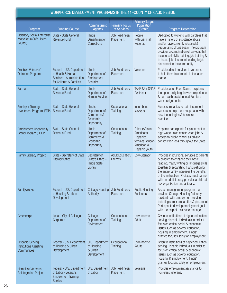| WORKFORCE DEVELOPMENT PROGRAMS IN THE 11-COUNTY CHICAGO REGION          |                                                                                                        |                                                                           |                                     |                                                                                                  |                                                                                                                                                                                                                                                                                                                                                      |
|-------------------------------------------------------------------------|--------------------------------------------------------------------------------------------------------|---------------------------------------------------------------------------|-------------------------------------|--------------------------------------------------------------------------------------------------|------------------------------------------------------------------------------------------------------------------------------------------------------------------------------------------------------------------------------------------------------------------------------------------------------------------------------------------------------|
| Program                                                                 | <b>Funding Source</b>                                                                                  | Administering<br>Agency                                                   | <b>Primary Focus</b><br>of Services | <b>Primary Target</b><br>Population<br>(Stated)                                                  | <b>Program Description</b>                                                                                                                                                                                                                                                                                                                           |
| <b>Delancey Social Enterprise</b><br>Model (at a Safe Haven<br>Found.)  | State - State General<br><b>Revenue Fund</b>                                                           | <b>Illinois</b><br>Department of<br>Corrections                           | Job Readiness/<br>Placement         | People<br>with Criminal<br><b>Records</b>                                                        | Dedicated to working with parolees that<br>have a history of substance abuse<br>and/or have currently relapsed &<br>begun using drugs again. The program<br>provides a combination of services that<br>include soft skills training, job training &<br>in house job placement leading to job<br>placement in the community.                          |
| <b>Disabled Veterans'</b><br>Outreach Program                           | Federal - U.S. Department<br>of Health & Human<br>Services - Administration<br>for Children & Families | <b>Illinois</b><br>Department of<br>Employment<br>Security                | Job Readiness/<br>Placement         | Veterans                                                                                         | Provides direct services to veterans<br>to help them to compete in the labor<br>market.                                                                                                                                                                                                                                                              |
| Earnfare                                                                | State - State General<br><b>Revenue Fund</b>                                                           | <b>Illinois</b><br>Department of<br><b>Human Services</b>                 | Job Readiness/<br>Placement         | TANF &/or SNAP<br>Recipients                                                                     | Provides adult Food Stamp recipients<br>the opportunity to gain work experience<br>& earn cash assistance at Earnfare<br>work assignments.                                                                                                                                                                                                           |
| <b>Employer Training</b><br>Investment Program (ETIP)                   | State - State General<br><b>Revenue Fund</b>                                                           | <b>Illinois</b><br>Department of<br>Commerce &<br>Economic<br>Opportunity | Occupational<br><b>Training</b>     | Incumbent<br>Workers                                                                             | Funds companies to train incumbent<br>workers to help them keep pace with<br>new technologies & business<br>practices.                                                                                                                                                                                                                               |
| <b>Employment Opportunity</b><br>Grant Program (EOGP)                   | State - State General<br><b>Revenue Fund</b>                                                           | <b>Illinois</b><br>Department of<br>Commerce &<br>Economic<br>Opportunity | Occupational<br><b>Training</b>     | Other (African-<br>Americans,<br>Hispanics,<br>females, African<br>American &<br>Hispanic youth) | Prepares participants for placement in<br>high wage union construction jobs &<br>access to public as well as private<br>construction jobs throughout the State.                                                                                                                                                                                      |
| <b>Family Literacy Project</b>                                          | State - Secretary of State<br><b>Literacy Office</b>                                                   | Secretary of<br>State's Office --<br><b>Illinois State</b><br>Library     | <b>Adult Education/</b><br>Literacy | Low-Literacy                                                                                     | Provides instructional services to parents<br>& children to enhance their basic<br>reading, math, writing or language skills<br>together & separately. Participation by<br>the entire family increases the benefits<br>of the instruction. Projects must partner<br>with an adult literacy provider, a child-at-<br>risk organization and a library. |
| FamilyWorks                                                             | Federal - U.S. Department<br>of Housing & Urban<br>Development                                         | <b>Chicago Housing</b><br>Authority                                       | Job Readiness/<br>Placement         | <b>Public Housing</b><br><b>Residents</b>                                                        | A case management program that<br>provides Chicago Housing Authority<br>residents with employment services<br>including career preparation & placement.<br>Participants develop employment goals<br>with the help of their case manager.                                                                                                             |
| Greencorps                                                              | Local - City of Chicago -<br>Corporate                                                                 | Chicago<br>Department of<br>Environment                                   | Occupational<br><b>Training</b>     | Low-Income<br>Adults                                                                             | Given to institutions of higher education<br>serving Hispanic individuals in order to<br>focus on critical social & economic<br>issues such as poverty, education,<br>housing, & employment. Illinois'<br>grantee focuses solely on employment.                                                                                                      |
| <b>Hispanic-Serving</b><br><b>Institutions Assisting</b><br>Communities | Federal - U.S. Department<br>of Housing & Urban<br>Development                                         | U.S. Department<br>of Housing<br>& Urban<br>Development                   | Occupational<br><b>Training</b>     | Low-Income<br>Adults                                                                             | Given to institutions of higher education<br>serving Hispanic individuals in order to<br>focus on critical social & economic<br>issues such as poverty, education,<br>housing, & employment. Illinois'<br>grantee focuses solely on employment.                                                                                                      |
| Homeless Veterans'<br><b>Reintegration Project</b>                      | Federal - U.S. Department<br>of Labor - Veterans<br><b>Employment Training</b><br>Service              | U.S. Department<br>of Labor                                               | Job Readiness/<br>Placement         | Veterans                                                                                         | Provides employment assistance to<br>homeless veterans.                                                                                                                                                                                                                                                                                              |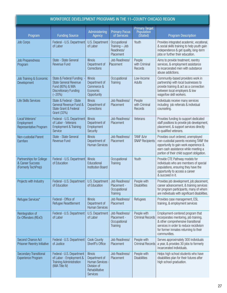| WORKFORCE DEVELOPMENT PROGRAMS IN THE 11-COUNTY CHICAGO REGION      |                                                                                                                         |                                                                                                        |                                                             |                                                 |                                                                                                                                                                                                                    |
|---------------------------------------------------------------------|-------------------------------------------------------------------------------------------------------------------------|--------------------------------------------------------------------------------------------------------|-------------------------------------------------------------|-------------------------------------------------|--------------------------------------------------------------------------------------------------------------------------------------------------------------------------------------------------------------------|
| Program                                                             | <b>Funding Source</b>                                                                                                   | Administering<br>Agency                                                                                | <b>Primary Focus</b><br>of Services                         | <b>Primary Target</b><br>Population<br>(Stated) | <b>Program Description</b>                                                                                                                                                                                         |
| <b>Job Corps</b>                                                    | Federal - U.S. Department<br>of Labor                                                                                   | U.S. Department<br>of Labor                                                                            | Occupational<br>Training $-$ Job<br>Readiness/<br>Placement | Youth                                           | Provides integrated academic, vocational,<br>& social skills training to help youth gain<br>independence & get quality, long-term<br>jobs or further their education.                                              |
| <b>Job Preparedness</b><br>Program                                  | State - State General<br><b>Revenue Fund</b>                                                                            | <b>Illinois</b><br>Department of<br>Corrections                                                        | Job Readiness/<br>Placement                                 | People<br>with Criminal<br>Records              | Aims to provide treatment, reentry<br>services, & employment assistance<br>to incarcerated men with substance<br>abuse addictions.                                                                                 |
| Job Training & Economic<br>Development                              | State & Federal Funding<br><b>State General Revenue</b><br>Fund (80%) & WIA<br><b>Discretionary Funding</b><br>$(-20%)$ | <b>Illinois</b><br>Department of<br>Commerce &<br>Economic<br>Opportunity                              | Occupational<br>Training                                    | Low-Income<br>Adults                            | Community-based providers work in<br>partnership with local businesses to<br>provide training & act as a connection<br>between local employers & low<br>wage/low skill workers.                                    |
| <b>Life Skills Services</b>                                         | State & Federal - State<br>General Revenue Fund &<br>State Grant & Federal<br>Grant (33%)                               | <b>Illinois</b><br>Department of<br>Corrections                                                        | Job Readiness/<br>Placement                                 | People<br>with Criminal<br>Records              | Individuals receive many services<br>including job referrals & individual<br>counseling.                                                                                                                           |
| Local Veterans'<br>Employment<br>Representative Program             | Federal - U.S. Department<br>of Labor - Veterans<br><b>Employment &amp; Training</b><br>Service                         | <b>Illinois</b><br>Department of<br>Employment<br>Security                                             | Job Readiness/<br>Placement                                 | Veterans                                        | Provides funding to support dedicated<br>staff positions to provide job development,<br>placement, & support services directly<br>to qualified veterans.                                                           |
| Non-custodial Parent<br>Earnfare                                    | State - State General<br><b>Revenue Fund</b>                                                                            | <b>Illinois</b><br>Department of<br><b>Human Services</b>                                              | Job Readiness/<br>Placement                                 | TANF &/or<br><b>SNAP Recipients</b>             | Provides court ordered, unemployed<br>non-custodial parents receiving TANF the<br>opportunity to gain work experience &<br>earn cash assistance while meeting a<br>portion of their child support obligation.      |
| Partnerships for College<br>& Career Success<br>(Formerly TechPrep) | Federal - U.S. Department<br>of Education                                                                               | <b>Illinois</b><br>Educational<br><b>Institution Board</b>                                             | Occupational<br>Training                                    | Youth                                           | Provide CTE Pathway models for<br>individuals who are members of special<br>populations, ensuring they have the<br>opportunity to access a career<br>& succeed in it.                                              |
| Projects with Industry                                              | Federal - U.S. Department   U.S. Department   Job Readiness/<br>of Education                                            | of Education                                                                                           | Placement -<br>Occupational<br><b>Training</b>              | People with<br><b>Disabilities</b>              | Provides job development, job placement,<br>career advancement, & training services<br>for program participants, many of whom<br>are individuals with significant disabilities.                                    |
| Refugee Services*                                                   | Federal - Office of<br>Refugee Resettlement                                                                             | <b>Illinois</b><br>Department of<br><b>Human Services</b>                                              | Job Readiness/<br>Placement                                 | Refugees                                        | Provides case management, ESL<br>training, & employment services                                                                                                                                                   |
| Reintegration of<br>Ex-Offenders (RExO)                             | Federal - U.S. Department<br>of Labor                                                                                   | U.S. Department<br>of Labor                                                                            | Job Readiness/<br>Placement -<br>Occupational<br>Training   | People with<br><b>Criminal Records</b>          | Employment-centered program that<br>incorporates mentoring, job training,<br>& other comprehensive transitional<br>services in order to reduce recidivism<br>for former inmates returning to their<br>communities. |
| Second Chance Act<br><b>Prisoner Reentry Initiative</b>             | Federal - U.S. Department<br>of Justice                                                                                 | <b>Cook County</b><br>Sheriff's Office                                                                 | Job Readiness/<br>Placement                                 | People with<br><b>Criminal Records</b>          | Serves approximately 300 individuals<br>a year, & provides 30 jobs to formerly<br>incarcerated individuals.                                                                                                        |
| <b>Secondary Transitional</b><br><b>Experience Program</b>          | Federal - U.S. Department<br>of Labor - Employment &<br><b>Training Administration</b><br>(WIA Title IV)                | <b>Illinois</b><br>Department of<br>Human Services<br>Division of<br>Rehabilitative<br><b>Services</b> | Job Readiness/<br>Placement                                 | People with<br><b>Disabilities</b>              | Helps high school students who have<br>disabilities plan for their futures after<br>high school graduation.                                                                                                        |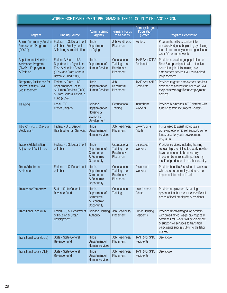| WORKFORCE DEVELOPMENT PROGRAMS IN THE 11-COUNTY CHICAGO REGION                           |                                                                                                                                    |                                                                           |                                                           |                                                 |                                                                                                                                                                                                                     |
|------------------------------------------------------------------------------------------|------------------------------------------------------------------------------------------------------------------------------------|---------------------------------------------------------------------------|-----------------------------------------------------------|-------------------------------------------------|---------------------------------------------------------------------------------------------------------------------------------------------------------------------------------------------------------------------|
| Program                                                                                  | <b>Funding Source</b>                                                                                                              | Administering<br><b>Agency</b>                                            | <b>Primary Focus</b><br>of Services                       | <b>Primary Target</b><br>Population<br>(Stated) | <b>Program Description</b>                                                                                                                                                                                          |
| <b>Senior Community Service</b><br><b>Employment Program</b><br>(SCSEP)                  | Federal - U.S. Department<br>of Labor - Employment<br>& Training Administration                                                    | <b>Illinois</b><br>Department<br>on Aging                                 | Job Readiness/<br>Placement                               | <b>Seniors</b>                                  | Program transitions seniors into<br>unsubsidized jobs, beginning by placing<br>them in community service agencies to<br>work 20 hours per week.                                                                     |
| <b>Supplemental Nutrition</b><br>Assistance Program<br>(SNAP) - Employment<br>& Training | Federal & State - U.S.<br>Department of Agriculture -<br>Food & Nutrition Service<br>(80%) and State General<br>Revenue Fund (20%) | <b>Illinois</b><br>Department of<br><b>Human Services</b>                 | Occupational<br>Training - Job<br>Readiness/<br>Placement | TANF &/or SNAP<br>Recipients                    | Provides special target populations of<br>Food Stamp recipients with intensive<br>education, job skills training, pre-<br>employment services, & unsubsidized<br>job placement.                                     |
| <b>Temporary Assistance for</b><br><b>Needy Families (TANF)</b><br><b>Job Placement</b>  | Federal & State - U.S.<br>Department of Health<br>& Human Services (80%)<br>& State General Revenue<br>Fund (20%)                  | <b>Illinois</b><br>Department of<br><b>Human Services</b>                 | Job<br>Readiness/<br>Placement                            | TANF &/or SNAP<br>Recipients                    | Provides targeted employment services<br>designed to address the needs of TANF<br>recipients with significant employment<br>barriers.                                                                               |
| <b>TIFWorks</b>                                                                          | Local - TIF -<br>City of Chicago                                                                                                   | Chicago<br>Department of<br>Housing &<br>Economic<br>Development          | Occupational<br>Training                                  | Incumbent<br>Workers                            | Provides businesses in TIF districts with<br>funding to train incumbent workers.                                                                                                                                    |
| <b>Title XX - Social Services</b><br><b>Block Grant</b>                                  | Federal - U.S. Dept of<br><b>Health &amp; Human Services</b>                                                                       | <b>Illinois</b><br>Department of<br><b>Human Services</b>                 | Job Readiness/<br>Placement                               | Low-Income<br>Adults                            | Funds used to assist individuals in<br>achieving economic self support. Some<br>funds used for youth development<br>programs.                                                                                       |
| Trade & Globalization<br><b>Adjustment Assistance</b>                                    | Federal - U.S. Department<br>of Labor                                                                                              | <b>Illinois</b><br>Department of<br>Commerce<br>& Economic<br>Opportunity | Occupational<br>Training - Job<br>Readiness/<br>Placement | <b>Dislocated</b><br>Workers                    | Provides services, including training<br>scholarships, to dislocated workers who<br>have been found to be adversely<br>impacted by increased imports or by<br>a shift of production to another country.             |
| <b>Trade Adjustment</b><br>Assistance                                                    | Federal - U.S. Department<br>of Labor                                                                                              | <b>Illinois</b><br>Department of<br>Commerce<br>& Economic<br>Opportunity | Occupational<br>Training - Job<br>Readiness/<br>Placement | <b>Dislocated</b><br>Workers                    | Provides benefits & services to workers<br>who become unemployed due to the<br>impact of international trade.                                                                                                       |
| <b>Training for Tomorrow</b>                                                             | State - State General<br><b>Revenue Fund</b>                                                                                       | <b>Illinois</b><br>Department of<br>Commerce<br>& Economic<br>Opportunity | Occupational<br><b>Training</b>                           | Low-Income<br>Adults                            | Provides employment & training<br>opportunities that meet the specific skill<br>needs of local employers & residents.                                                                                               |
| Transitional Jobs (CHA)                                                                  | Federal - U.S. Department<br>of Housing & Urban<br>Development                                                                     | <b>Chicago Housing</b><br>Authority                                       | Job Readiness/<br>Placement                               | <b>Public Housing</b><br>Residents              | Provides disadvantaged job seekers<br>with time-limited, wage-paying jobs &<br>combines real work, skill development,<br>& supportive services to transition<br>participants successfully into the labor<br>market. |
| Transitional Jobs (IDOC)                                                                 | State - State General<br><b>Revenue Fund</b>                                                                                       | <b>Illinois</b><br>Department of<br><b>Human Services</b>                 | Job Readiness/<br>Placement                               | TANF &/or SNAP<br>Recipients                    | See above                                                                                                                                                                                                           |
| Transitional Jobs (TANF)                                                                 | State - State General<br><b>Revenue Fund</b>                                                                                       | <b>Illinois</b><br>Department of<br><b>Human Services</b>                 | Job Readiness/<br>Placement                               | TANF &/or SNAP<br>Recipients                    | See above                                                                                                                                                                                                           |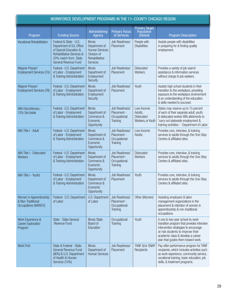| WORKFORCE DEVELOPMENT PROGRAMS IN THE 11-COUNTY CHICAGO REGION             |                                                                                                                                                                      |                                                                                                               |                                                                  |                                                                 |                                                                                                                                                                                                                                        |
|----------------------------------------------------------------------------|----------------------------------------------------------------------------------------------------------------------------------------------------------------------|---------------------------------------------------------------------------------------------------------------|------------------------------------------------------------------|-----------------------------------------------------------------|----------------------------------------------------------------------------------------------------------------------------------------------------------------------------------------------------------------------------------------|
| Program                                                                    | <b>Funding Source</b>                                                                                                                                                | <b>Administering</b><br><b>Agency</b>                                                                         | <b>Primary Focus</b><br>of Services                              | <b>Primary Target</b><br>Population<br>(Stated)                 | <b>Program Description</b>                                                                                                                                                                                                             |
| <b>Vocational Rehabilitation</b>                                           | Federal & State - U.S.<br>Department of Ed, Office<br>of Special Education &<br><b>Rehabilitative Services &amp;</b><br>20% match from State<br>General Revenue Fund | <b>Illinois</b><br>Department of<br><b>Human Services</b><br>Division of<br>Rehabilitative<br><b>Services</b> | Job Readiness/<br>Placement                                      | People with<br><b>Disabilities</b>                              | Assists people with disabilities<br>in preparing for & finding quality<br>employment.                                                                                                                                                  |
| Wagner-Peyser/<br><b>Employment Services (7A)</b>                          | Federal - U.S. Department<br>of Labor - Employment<br>& Training Administration                                                                                      | <b>Illinois</b><br>Department of<br>Employment<br>Security                                                    | Job Readiness/<br>Placement                                      | <b>Dislocated</b><br><b>Workers</b>                             | Provides a variety of job search<br>assistance & information services<br>without charge to job seekers.                                                                                                                                |
| Wagner-Peyser/<br><b>Employment Services (7B)</b>                          | Federal - U.S. Department<br>of Labor - Employment<br>& Training Administration                                                                                      | <b>Illinois</b><br>Department of<br>Employment<br>Security                                                    | Job Readiness/<br>Placement                                      | Youth                                                           | Assists high school students in their<br>transition to the workplace, providing<br>exposure to the workplace environment<br>& an understanding of the education<br>& skills needed to succeed.                                         |
| <b>WIA Discretionary -</b><br>15% Set Aside                                | Federal - U.S. Department<br>of Labor - Employment<br>& Training Administration                                                                                      | <b>Illinois</b><br>Department of<br>Commerce &<br>Economic<br>Opportunity                                     | Job Readiness/<br>Placement -<br>Occupational<br><b>Training</b> | Low-Income<br>Adults,<br><b>Dislocated</b><br>Workers, or Youth | States may reserve up to 15 percent<br>of each of their separate adult, youth,<br>& dislocated worker WIA allotments to<br>'carry out statewide employment &<br>training activities.' - Department of Labor.                           |
| WIA Title I - Adult                                                        | Federal - U.S. Department<br>of Labor - Employment<br>& Training Administration                                                                                      | <b>Illinois</b><br>Department of<br>Commerce &<br>Economic<br>Opportunity                                     | Job Readiness/<br>Placement -<br>Occupational<br><b>Training</b> | Low-Income<br>Adults                                            | Provides core, intensive, & training<br>services to adults through the One-Stop<br>Centers & affiliated sites.                                                                                                                         |
| WIA Title I - Dislocated<br><b>Workers</b>                                 | Federal - U.S. Department<br>of Labor - Employment<br>& Training Administration                                                                                      | <b>Illinois</b><br>Department of<br>Commerce &<br>Economic<br>Opportunity                                     | Job Readiness/<br>Placement -<br>Occupational<br><b>Training</b> | <b>Dislocated</b><br>Workers                                    | Provides core, intensive, & training<br>services to adults through the One-Stop<br>Centers & affiliated sites.                                                                                                                         |
| WIA Title I - Youth)                                                       | Federal - U.S. Department<br>of Labor - Employment<br>& Training Administration                                                                                      | <b>Illinois</b><br>Department of<br>Commerce &<br>Economic<br>Opportunity                                     | Job Readiness/<br>Placement                                      | Youth                                                           | Provides core, intensive, & training<br>services to adults through the One-Stop<br>Centers & affiliated sites.                                                                                                                         |
| Women in Apprenticeship<br>& Non-Traditional<br><b>Occupations (WANTO)</b> | Federal - U.S. Department<br>of Labor                                                                                                                                | U.S. Department<br>of Labor                                                                                   | Job Readiness/<br>Placement -<br>Occupational<br><b>Training</b> | Other (Women)                                                   | Assisting employers & labor<br>management organizations in the<br>placement & retention of women in<br>apprenticeship & non-traditional<br>occupations.                                                                                |
| Work Experience &<br><b>Career Exploration</b><br>Program                  | State - State General<br><b>Revenue Fund</b>                                                                                                                         | <b>Illinois State</b><br>Board of<br>Education                                                                | Occupational<br><b>Training</b>                                  | Youth                                                           | A one to two year school-to-work<br>transition program that provides intensive<br>intervention strategies to encourage<br>at-risk students to improve their<br>academic class & develop a career<br>plan that guides them toward work. |
| <b>Work First</b>                                                          | State & Federal - State<br><b>General Revenue Fund</b><br>(90%) & U.S. Department<br>of Health & Human<br>Services (10%)                                             | <b>Illinois</b><br>Department of<br><b>Human Services</b>                                                     | Job Readiness/<br>Placement                                      | TANF &/or SNAP<br>Recipients                                    | Pay-after-performance program for TANF<br>recipients, which includes activities such<br>as work experience, community service,<br>vocational training, basic education, job<br>skills, & treatment programs.                           |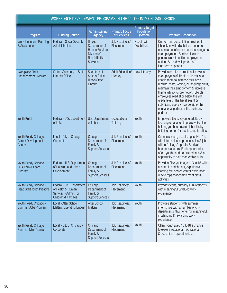| WORKFORCE DEVELOPMENT PROGRAMS IN THE 11-COUNTY CHICAGO REGION       |                                                                                                           |                                                                                                          |                                     |                                                 |                                                                                                                                                                                                                                                                                                                                                                                                                                 |
|----------------------------------------------------------------------|-----------------------------------------------------------------------------------------------------------|----------------------------------------------------------------------------------------------------------|-------------------------------------|-------------------------------------------------|---------------------------------------------------------------------------------------------------------------------------------------------------------------------------------------------------------------------------------------------------------------------------------------------------------------------------------------------------------------------------------------------------------------------------------|
| Program                                                              | <b>Funding Source</b>                                                                                     | Administering<br><b>Agency</b>                                                                           | <b>Primary Focus</b><br>of Services | <b>Primary Target</b><br>Population<br>(Stated) | <b>Program Description</b>                                                                                                                                                                                                                                                                                                                                                                                                      |
| <b>Work Incentives Planning</b><br>& Assistance                      | Federal - Social Security<br>Administration                                                               | <b>Illinois</b><br>Department of<br>Human Services -<br>Division of<br>Rehabilitative<br><b>Services</b> | Job Readiness/<br>Placement         | People with<br><b>Disabilities</b>              | One-on-one consultation provided to<br>jobseekers with disabilities meant to<br>ensure a beneficiary's success in regards<br>to employment. Services include<br>general work to outline employment<br>options & the development of<br>long-term supports.                                                                                                                                                                       |
| <b>Workplace Skills</b><br><b>Enhancement Program</b>                | State - Secretary of State<br><b>Literacy Office</b>                                                      | Secretary of<br>State's Office -<br><b>Illinois State</b><br>Library                                     | <b>Adult Education/</b><br>Literacy | Low-Literacy                                    | Provides on-site instructional services<br>to employees of Illinois businesses to<br>enable them to increase their basic<br>reading, math, writing, or language skills,<br>maintain their employment & increase<br>their eligibility for promotion. Eligible<br>employees read at or below the 9th<br>grade level. The fiscal agent &<br>submitting agency may be either the<br>educational partner or the business<br>partner. |
| <b>Youth Build</b>                                                   | Federal - U.S. Department<br>of Labor                                                                     | U.S. Department<br>of Labor                                                                              | Occupational<br><b>Training</b>     | Youth                                           | Empowers teens & young adults by<br>focusing on academic goals while also<br>helping youth to develop job skills by<br>building homes for low-income families.                                                                                                                                                                                                                                                                  |
| Youth Ready Chicago -<br><b>Career Development</b><br><b>Centers</b> | Local - City of Chicago -<br>Corporate                                                                    | Chicago<br>Department of<br>Family &<br><b>Support Services</b>                                          | Job Readiness/<br>Placement         | Youth                                           | Connects young people, ages 14 - 21,<br>with internships, apprenticeships & jobs<br>within Chicago's public & private<br>business sectors. Each opportunity<br>offers youth hands-on experience & an<br>opportunity to gain marketable skills.                                                                                                                                                                                  |
| Youth Ready Chicago -<br>CHA Earn & Learn<br>Program                 | Federal - U.S. Department<br>of Housing and Urban<br>Development                                          | Chicago<br>Department of<br>Family &<br><b>Support Services</b>                                          | Job Readiness/<br>Placement         | Youth                                           | Provides CHA youth aged 13 to 15 with<br>academic enrichment, experiential<br>learning focused on career exploration,<br>& field trips that complement class<br>activities.                                                                                                                                                                                                                                                     |
| Youth Ready Chicago -<br><b>Head Start Youth Initiative</b>          | Federal - U.S. Department<br>of Health & Human<br>Services - Admin. for<br><b>Children &amp; Families</b> | Chicago<br>Department of<br>Family &<br><b>Support Services</b>                                          | Job Readiness/<br>Placement         | Youth                                           | Provides teens, primarily CHA residents,<br>with meaningful & valued work<br>experience.                                                                                                                                                                                                                                                                                                                                        |
| Youth Ready Chicago -<br>Summer Jobs Program                         | Local - After School<br><b>Matters Operating Budget</b>                                                   | <b>After School</b><br><b>Matters</b>                                                                    | Job Readiness/<br>Placement         | Youth                                           | Provides students with summer<br>internships with a number of city<br>departments, thus offering, meaningful,<br>challenging & rewarding work<br>experience.                                                                                                                                                                                                                                                                    |
| Youth Ready Chicago -<br><b>Summer Mini-Grants</b>                   | Local - City of Chicago -<br>Corporate                                                                    | Chicago<br>Department of<br>Family &<br><b>Support Services</b>                                          | Job Readiness/<br>Placement         | Youth                                           | Offers youth aged 10 to18 a chance<br>to explore vocational, recreational,<br>& educational opportunities.                                                                                                                                                                                                                                                                                                                      |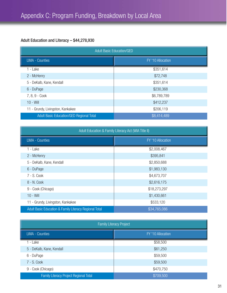## Adult Education and Literacy – \$44,278,930

| <b>Adult Basic Education/GED</b>                |                   |  |  |
|-------------------------------------------------|-------------------|--|--|
| <b>LWIA - Counties</b>                          | FY '10 Allocation |  |  |
| 1 - Lake                                        | \$351,614         |  |  |
| 2 - McHenry                                     | \$72,748          |  |  |
| 5 - DeKalb, Kane, Kendall                       | \$351,614         |  |  |
| 6 - DuPage                                      | \$230,368         |  |  |
| 7, 8, 9 - Cook                                  | \$6,789,789       |  |  |
| $10 - Will$                                     | \$412,237         |  |  |
| 11 - Grundy, Livingston, Kankakee               | \$206,119         |  |  |
| <b>Adult Basic Education/GED Regional Total</b> | \$8,414,489       |  |  |

| Adult Education & Family Literacy Act (WIA Title II)   |                   |  |  |
|--------------------------------------------------------|-------------------|--|--|
| <b>LWIA - Counties</b>                                 | FY '10 Allocation |  |  |
| 1 - Lake                                               | \$2,008,467       |  |  |
| 2 - McHenry                                            | \$395,841         |  |  |
| 5 - DeKalb, Kane, Kendall                              | \$2,850,688       |  |  |
| 6 - DuPage                                             | \$1,983,130       |  |  |
| 7 - S. Cook                                            | \$4,673,707       |  |  |
| 8 - N. Cook                                            | \$2,616,175       |  |  |
| 9 - Cook (Chicago)                                     | \$18,273,297      |  |  |
| $10 - Will$                                            | \$1,430,661       |  |  |
| 11 - Grundy, Livingston, Kankakee                      | \$533,120         |  |  |
| Adult Basic Education & Family Literacy Regional Total | \$34,765,086      |  |  |

| <b>Family Literacy Project</b>                |                    |  |  |
|-----------------------------------------------|--------------------|--|--|
| <b>LWIA - Counties</b>                        | FY '10 Allocation' |  |  |
| 1 - Lake                                      | \$58,500           |  |  |
| 5 - DeKalb, Kane, Kendall                     | \$61,250           |  |  |
| 6 - DuPage                                    | \$59,500           |  |  |
| 7 - S. Cook                                   | \$59,500           |  |  |
| 9 - Cook (Chicago)                            | \$470,750          |  |  |
| <b>Family Literacy Project Regional Total</b> | \$709,500          |  |  |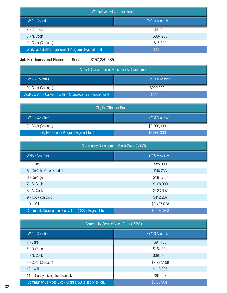| Workplace Skills Enhancement                        |                   |  |
|-----------------------------------------------------|-------------------|--|
| <b>LWIA - Counties</b>                              | FY '10 Allocation |  |
| 7 - S. Cook                                         | \$65,455          |  |
| 8 - N. Cook                                         | \$307,900         |  |
| 9 - Cook (Chicago)                                  | \$16,500          |  |
| Workplace Skills Enhancement Program Regional Total | \$389,855         |  |

## Job Readiness and Placement Services – \$157,389,585

| <b>Added Chance Career Education &amp; Development</b>     |                   |  |
|------------------------------------------------------------|-------------------|--|
| LWIA - Counties                                            | FY '10 Allocation |  |
| 9 - Cook (Chicago)                                         | \$222,000         |  |
| Added Chance Career Education & Development Regional Total | \$222,000         |  |

| <b>City Ex-Offender Program</b>         |                   |  |
|-----------------------------------------|-------------------|--|
| LWIA - Counties                         | FY '10 Allocation |  |
| 9 - Cook (Chicago)                      | \$2,260,000       |  |
| City Ex-Offender Program Regional Total | \$2,260,000       |  |

| <b>Community Development Block Grant (CDBG)</b>         |                   |  |  |
|---------------------------------------------------------|-------------------|--|--|
| <b>LWIA - Counties</b>                                  | FY '10 Allocation |  |  |
| 1 - Lake                                                | \$85,000          |  |  |
| 5 - DeKalb, Kane, Kendall                               | \$46,733          |  |  |
| 6 - DuPage                                              | \$184,743         |  |  |
| $7 - S$ . Cook                                          | \$168,000         |  |  |
| 8 - N. Cook                                             | \$123,697         |  |  |
| 9 - Cook (Chicago)                                      | \$412,237         |  |  |
| $10 - Will$                                             | \$3,407,638       |  |  |
| Community Development Block Grant (CSBG) Regional Total | \$4,239,303       |  |  |

| Community Service Block Grant (CSBG)                 |                   |
|------------------------------------------------------|-------------------|
| <b>LWIA - Counties</b>                               | FY '10 Allocation |
| 1 - Lake                                             | \$91,183          |
| 6 - DuPage                                           | \$164,394         |
| 8 - N. Cook                                          | \$392,933         |
| 9 - Cook (Chicago)                                   | \$2,227,108       |
| $10 - Will$                                          | \$118,995         |
| 11 - Grundy, Livingston, Kankakee                    | \$62,428          |
| Community Services Block Grant (CSBG) Regional Total | \$3,057,041       |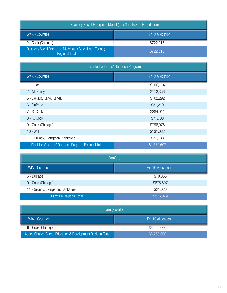| Delancey Social Enterprise Model (at a Safe Haven Foundation)                      |                   |
|------------------------------------------------------------------------------------|-------------------|
| LWIA - Counties                                                                    | FY '10 Allocation |
| 9 - Cook (Chicago)                                                                 | \$722,015         |
| Delancey Social Enterprise Model (at a Safe Haven Found.)<br><b>Regional Total</b> | \$722,015         |

| Disabled Veterans' Outreach Program                |                   |
|----------------------------------------------------|-------------------|
| <b>LWIA - Counties</b>                             | FY '10 Allocation |
| 1 - Lake                                           | \$106,114         |
| 2 - McHenry                                        | \$112,356         |
| 5 - DeKalb, Kane, Kendall                          | \$162,292         |
| 6 - DuPage                                         | \$31,210          |
| 7 - S. Cook                                        | \$284,011         |
| 8 - N. Cook                                        | \$71,783          |
| 9 - Cook (Chicago)                                 | \$798,976         |
| $10 - Will$                                        | \$131,082         |
| 11 - Grundy, Livingston, Kankakee                  | \$71,783          |
| Disabled Veterans' Outreach Program Regional Total | \$1,769,607       |

| Earnfare                          |                   |
|-----------------------------------|-------------------|
| <b>LWIA - Counties</b>            | FY '10 Allocation |
| 6 - DuPage                        | \$19,356          |
| 9 - Cook (Chicago)                | \$875,697         |
| 11 - Grundy, Livingston, Kankakee | \$21,026          |
| <b>Earnfare Regional Total</b>    | \$916,079         |

| <b>Family Works</b>                                        |                     |
|------------------------------------------------------------|---------------------|
| LWIA - Counties                                            | FY '10 Allocation ' |
| 9 - Cook (Chicago)                                         | \$6,250,000         |
| Added Chance Career Education & Development Regional Total | \$6,250,000         |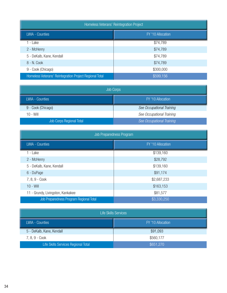| Homeless Veterans' Reintegration Project                |                   |
|---------------------------------------------------------|-------------------|
| <b>LWIA - Counties</b>                                  | FY '10 Allocation |
| 1 - Lake                                                | \$74,789          |
| 2 - McHenry                                             | \$74,789          |
| 5 - DeKalb, Kane, Kendall                               | \$74,789          |
| 8 - N. Cook                                             | \$74,789          |
| 9 - Cook (Chicago)                                      | \$300,000         |
| Homeless Veterans' Reintegration Project Regional Total | \$599,156         |

| <b>Job Corps</b>         |                           |
|--------------------------|---------------------------|
| <b>LWIA - Counties</b>   | FY '10 Allocation         |
| 9 - Cook (Chicago)       | See Occupational Training |
| $10 - Will$              | See Occupational Training |
| Job Corps Regional Total | See Occupational Training |

| Job Preparedness Program                |                   |
|-----------------------------------------|-------------------|
| <b>LWIA - Counties</b>                  | FY '10 Allocation |
| 1 - Lake                                | \$139,160         |
| 2 - McHenry                             | \$28,792          |
| 5 - DeKalb, Kane, Kendall               | \$139,160         |
| 6 - DuPage                              | \$91,174          |
| 7, 8, 9 - Cook                          | \$2,687,233       |
| $10 - Will$                             | \$163,153         |
| 11 - Grundy, Livingston, Kankakee       | \$81,577          |
| Job Preparedness Program Regional Total | \$3,330,250       |

| <b>Life Skills Services</b>         |                   |
|-------------------------------------|-------------------|
| <b>LWIA - Counties</b>              | FY '10 Allocation |
| 5 - DeKalb, Kane, Kendall           | \$91,093          |
| 7, 8, 9 - Cook                      | \$560,177         |
| Life Skills Services Regional Total | \$651,270         |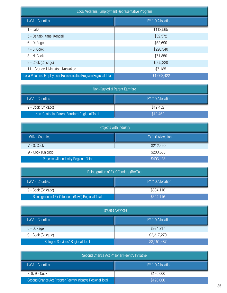| Local Veterans' Employment Representative Program                |                   |
|------------------------------------------------------------------|-------------------|
| <b>LWIA - Counties</b>                                           | FY '10 Allocation |
| 1 - Lake                                                         | \$112,565         |
| 5 - DeKalb, Kane, Kendall                                        | \$32,572          |
| 6 - DuPage                                                       | \$52,690          |
| 7 - S. Cook                                                      | \$220,340         |
| 8 - N. Cook                                                      | \$71,850          |
| 9 - Cook (Chicago)                                               | \$565,220         |
| 11 - Grundy, Livingston, Kankakee                                | \$7,185           |
| Local Veterans' Employment Representative Program Regional Total | \$1,062,422       |

| Non-Custodial Parent Earnfare                |                   |
|----------------------------------------------|-------------------|
| LWIA - Counties                              | FY '10 Allocation |
| 9 - Cook (Chicago)                           | \$12.452          |
| Non-Custodial Parent Earnfare Regional Total | \$12,452          |

| Projects with Industry                |                   |
|---------------------------------------|-------------------|
| <b>LWIA - Counties</b>                | FY '10 Allocation |
| 7 - S. Cook                           | \$212,450         |
| 9 - Cook (Chicago)                    | \$280,688         |
| Projects with Industry Regional Total | \$493,138         |

| Reintegration of Ex-Offenders (ReXO)e               |                   |
|-----------------------------------------------------|-------------------|
| LWIA - Counties                                     | FY '10 Allocation |
| 9 - Cook (Chicago)                                  | \$304,116         |
| Reintegration of Ex-Offenders (ReXO) Regional Total | \$304,116         |

| <b>Refugee Services</b>          |                   |
|----------------------------------|-------------------|
| <b>LWIA - Counties</b>           | FY '10 Allocation |
| 6 - DuPage                       | \$934,217         |
| 9 - Cook (Chicago)               | \$2,217,270       |
| Refugee Services* Regional Total | \$3,151,487       |

| Second Chance Act Prisoner Reentry Initiative                |                   |
|--------------------------------------------------------------|-------------------|
| LWIA - Counties                                              | FY '10 Allocation |
| 7, 8, 9 - Cook                                               | \$120,000         |
| Second Chance Act Prisoner Reentry Initiative Regional Total | \$120,000         |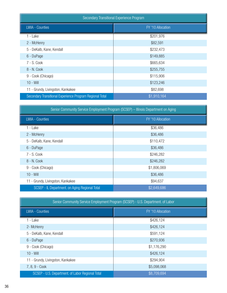| Secondary Transitional Experience Program                |                   |
|----------------------------------------------------------|-------------------|
| <b>LWIA - Counties</b>                                   | FY '10 Allocation |
| 1 - Lake                                                 | \$201,976         |
| 2 - McHenry                                              | \$82,591          |
| 5 - DeKalb, Kane, Kendall                                | \$232,473         |
| 6 - DuPage                                               | \$149,885         |
| 7 - S. Cook                                              | \$665,634         |
| 8 - N. Cook                                              | \$255,755         |
| 9 - Cook (Chicago)                                       | \$115,906         |
| $10 - Will$                                              | \$123,246         |
| 11 - Grundy, Livingston, Kankakee                        | \$82,698          |
| Secondary Transitional Experience Program Regional Total | \$1,910,164       |

| Senior Community Service Employment Program (SCSEP) - Illinois Department on Aging |                   |
|------------------------------------------------------------------------------------|-------------------|
| LWIA - Counties                                                                    | FY '10 Allocation |
| 1 - Lake                                                                           | \$36,486          |
| 2 - McHenry                                                                        | \$36,486          |
| 5 - DeKalb, Kane, Kendall                                                          | \$110,472         |
| 6 - DuPage                                                                         | \$36,486          |
| 7 - S. Cook                                                                        | \$246,282         |
| 8 - N. Cook                                                                        | \$246,282         |
| 9 - Cook (Chicago)                                                                 | \$1,806,069       |
| $10 - Will$                                                                        | \$36,486          |
| 11 - Grundy, Livingston, Kankakee                                                  | \$94,637          |
| SCSEP - IL Department. on Aging Regional Total                                     | \$2,649,686       |

| Senior Community Service Employment Program (SCSEP) - U.S. Department. of Labor |                   |
|---------------------------------------------------------------------------------|-------------------|
| <b>LWIA - Counties</b>                                                          | FY '10 Allocation |
| 1 - Lake                                                                        | \$426,124         |
| 2- McHenry                                                                      | \$426,124         |
| 5 - DeKalb, Kane, Kendall                                                       | \$591,124         |
| 6 - DuPage                                                                      | \$270,936         |
| 9 - Cook (Chicago)                                                              | \$1,176,290       |
| $10 - Will$                                                                     | \$426,124         |
| 11 - Grundy, Livingston, Kankakee                                               | \$294,904         |
| 7, 8, 9 - Cook                                                                  | \$5,098,068       |
| SCSEP - U.S. Department. of Labor Regional Total                                | \$8,709,694       |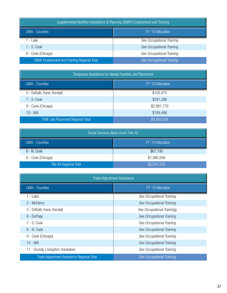| Supplemental Nutrition Assistance & Planning (SNAP) Employment and Training |                           |
|-----------------------------------------------------------------------------|---------------------------|
| <b>LWIA - Counties</b>                                                      | FY '10 Allocation         |
| - Lake                                                                      | See Occupational Training |
| $7 - S$ . Cook                                                              | See Occupational Training |
| 9 - Cook (Chicago)                                                          | See Occupational Training |
| <b>SNAP Employment and Training Regional Total</b>                          | See Occupational Training |

| Temporary Assistance for Needy Families Job Placement |                   |
|-------------------------------------------------------|-------------------|
| <b>LWIA - Counties</b>                                | FY '10 Allocation |
| 5 - DeKalb, Kane, Kendall                             | \$100,475         |
| 7 - S. Cook                                           | \$291,286         |
| 9 - Cook (Chicago)                                    | \$2,981,779       |
| $10 - Will$                                           | \$189,486         |
| <b>TANF Job Placement Regional Total</b>              | \$3,563,026       |

| Social Services Block Grant Title XX |                   |
|--------------------------------------|-------------------|
| <b>LWIA - Counties</b>               | FY '10 Allocation |
| 8 - N. Cook                          | \$67,195          |
| 9 - Cook (Chicago)                   | \$1,980,008       |
| <b>Title XX Regional Total</b>       | \$2,047,203       |

| <b>Trade Adjustment Assistance</b>                |                            |
|---------------------------------------------------|----------------------------|
| LWIA - Counties                                   | FY '10 Allocation          |
| 1 - Lake                                          | See Occupational Training  |
| 2 - McHenry                                       | See Occupational Training  |
| 5 - DeKalb, Kane, Kendall                         | See Occupational Trainingg |
| 6 - DuPage                                        | See Occupational Training  |
| $7 - S$ . Cook                                    | See Occupational Training  |
| 8 - N. Cook                                       | See Occupational Training  |
| 9 - Cook (Chicago)                                | See Occupational Training  |
| $10 - Will$                                       | See Occupational Training  |
| 11 - Grundy, Livingston, Kankakee                 | See Occupational Training  |
| <b>Trade Adjustment Assistance Regional Total</b> | See Occupational Training  |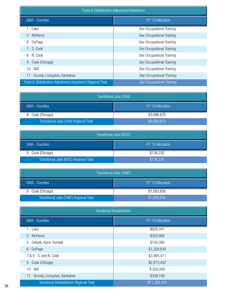| Trade & Globalization Adjustment Assistance                |                           |
|------------------------------------------------------------|---------------------------|
| <b>LWIA - Counties</b>                                     | FY '10 Allocation         |
| 1 - Lake                                                   | See Occupational Training |
| 2 - McHenry                                                | See Occupational Training |
| 6 - DuPage                                                 | See Occupational Training |
| 7 - S. Cook                                                | See Occupational Training |
| 8 - N. Cook                                                | See Occupational Training |
| 9 - Cook (Chicago)                                         | See Occupational Training |
| $10 - Will$                                                | See Occupational Training |
| 11 - Grundy, Livingston, Kankakee                          | See Occupational Training |
| Trade & Globalization Adjustment Assistance Regional Total | See Occupational Training |

| Transitional Jobs (CHA)                |                   |
|----------------------------------------|-------------------|
| <b>LWIA - Counties</b>                 | FY '10 Allocation |
| 9 - Cook (Chicago)                     | \$3,096,670       |
| Transitional Jobs (CHA) Regional Total | \$3,096,670       |

| Transitional Jobs (IDOC)                |                   |
|-----------------------------------------|-------------------|
| LWIA - Counties                         | FY '10 Allocation |
| 9 - Cook (Chicago)                      | \$138,230         |
| Transitional Jobs (IDOC) Regional Total | \$138,230         |

| Transitional Jobs (TANF)                |                   |
|-----------------------------------------|-------------------|
| <b>LWIA - Counties</b>                  | FY '10 Allocation |
| 9 - Cook (Chicago)                      | \$1,003,836       |
| Transitional Jobs (TANF) Regional Total | \$1,003,836       |

| <b>Vocational Rehabilitation</b>                |                   |
|-------------------------------------------------|-------------------|
| <b>LWIA - Counties</b>                          | FY '10 Allocation |
| 1 - Lake                                        | \$808,041         |
| 2 - McHenry                                     | \$320,968         |
| 5 - DeKalb, Kane, Kendall                       | \$740,390         |
| 6 - DuPage                                      | \$1,259,649       |
| 7 & 8 - S. and N. Cook                          | \$3,966,471       |
| 9 - Cook (Chicago)                              | \$2,873,432       |
| $10 - Will$                                     | \$958,089         |
| 11 - Grundy, Livingston, Kankakee               | \$339,159         |
| <b>Vocational Rehabilitation Regional Total</b> | \$11,266,200      |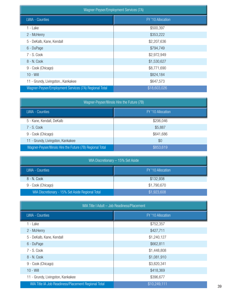| Wagner-Peyser/Employment Services (7A)                |                   |
|-------------------------------------------------------|-------------------|
| <b>LWIA - Counties</b>                                | FY '10 Allocation |
| 1 - Lake                                              | \$500,397         |
| 2 - McHenry                                           | \$353,222         |
| 5 - DeKalb, Kane, Kendall                             | \$2,207,636       |
| 6 - DuPage                                            | \$794,749         |
| 7 - S. Cook                                           | \$2,972,949       |
| 8 - N. Cook                                           | \$1,530,627       |
| 9 - Cook (Chicago)                                    | \$8,771,690       |
| $10 - Will$                                           | \$824,184         |
| 11 - Grundy, Livingston., Kankakee                    | \$647,573         |
| Wagner-Peyser/Employment Services (7A) Regional Total | \$18,603,026      |

| Wagner-Peyser/Illinois Hire the Future (7B)                |                   |
|------------------------------------------------------------|-------------------|
| <b>LWIA - Counties</b>                                     | FY '10 Allocation |
| 5 - Kane, Kendall, DeKalb                                  | \$206,046         |
| $7 - S$ . Cook                                             | \$5,887           |
| 9 - Cook (Chicago)                                         | \$641,686         |
| 11 - Grundy, Livingston, Kankakee                          | \$0               |
| Wagner-Peyser/Illinois Hire the Future (7B) Regional Total | \$853,619         |

| WIA Discretionary - 15% Set Aside                |                   |
|--------------------------------------------------|-------------------|
| <b>LWIA - Counties</b>                           | FY '10 Allocation |
| 8 - N. Cook                                      | \$132,938         |
| 9 - Cook (Chicago)                               | \$1,790,670       |
| WIA Discretionary - 15% Set Aside Regional Total | \$1,923,608       |

| WIA Title I Adult - Job Readiness/Placement         |                   |
|-----------------------------------------------------|-------------------|
| <b>LWIA - Counties</b>                              | FY '10 Allocation |
| 1 - Lake                                            | \$752,357         |
| 2 - McHenry                                         | \$427,711         |
| 5 - DeKalb, Kane, Kendall                           | \$1,240,127       |
| 6 - DuPage                                          | \$662,811         |
| 7 - S. Cook                                         | \$1,448,808       |
| 8 - N. Cook                                         | \$1,081,910       |
| 9 - Cook (Chicago)                                  | \$3,820,341       |
| $10 - Will$                                         | \$418,369         |
| 11 - Grundy, Livingston, Kankakee                   | \$396,677         |
| WIA Title IA Job Readiness/Placement Regional Total | \$10,249,111      |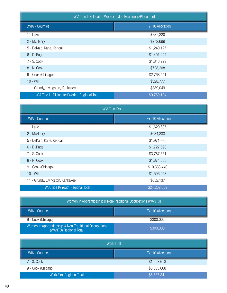| WIA Title I Dislocated Worker - Job Readiness/Placement |                   |
|---------------------------------------------------------|-------------------|
| <b>LWIA - Counties</b>                                  | FY '10 Allocation |
| 1 - Lake                                                | \$787,220         |
| 2 - McHenry                                             | \$272,699         |
| 5 - DeKalb, Kane, Kendall                               | \$1,240,127       |
| 6 - DuPage                                              | \$1,401,444       |
| 7 - S. Cook                                             | \$1,843,229       |
| 8 - N. Cook                                             | \$728,208         |
| 9 - Cook (Chicago)                                      | \$2,768,441       |
| $10 - Will$                                             | \$328,777         |
| 11 - Grundy, Livingston, Kankakee                       | \$389,049         |
| WIA Title I - Dislocated Worker Regional Total          | \$9,759,194       |

| <b>WIA Title I Youth</b>          |                   |
|-----------------------------------|-------------------|
| <b>LWIA - Counties</b>            | FY '10 Allocation |
| 1 - Lake                          | \$1,629,697       |
| 2 - McHenry                       | \$684,233         |
| 5 - DeKalb, Kane, Kendall         | \$1,971,935       |
| 6 - DuPage                        | \$1,727,690       |
| 7 - S. Cook                       | \$3,787,551       |
| 8 - N. Cook                       | \$1,874,853       |
| 9 - Cook (Chicago)                | \$10,338,440      |
| $10 - Will$                       | \$1,596,053       |
| 11 - Grundy, Livingston, Kankakee | \$652,137         |
| WIA Title IA Youth Regional Total | \$24,262,589      |

| Women in Apprenticeship & Non-Traditional Occupations (WANTO)                   |                   |
|---------------------------------------------------------------------------------|-------------------|
| LWIA - Counties                                                                 | FY '10 Allocation |
| 9 - Cook (Chicago)                                                              | \$300,000         |
| Women in Apprenticeship & Non-Traditional Occupations<br>(WANTO) Regional Total | \$300,000         |

| <b>Work First</b>                |                   |
|----------------------------------|-------------------|
| <b>LWIA - Counties</b>           | FY '10 Allocation |
| 7 - S. Cook                      | \$1,653,673       |
| 9 - Cook (Chicago)               | \$5,033,668       |
| <b>Work First Regional Total</b> | \$6,687,341       |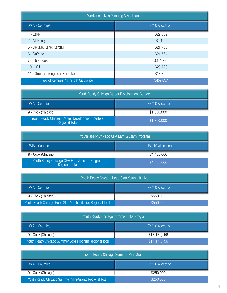| <b>Work Incentives Planning &amp; Assistance</b> |                   |
|--------------------------------------------------|-------------------|
| <b>LWIA - Counties</b>                           | FY '10 Allocation |
| 1 - Lake                                         | \$22,559          |
| 2 - McHenry                                      | \$9,192           |
| 5 - DeKalb, Kane, Kendall                        | \$21,700          |
| 6 - DuPage                                       | \$24,564          |
| 7, 8, 9 - Cook                                   | \$344,790         |
| $10 - Will$                                      | \$23,723          |
| 11 - Grundy, Livingston, Kankakee                | \$13,369          |
| Work Incentives Planning & Assistance            | \$459,897         |

| Youth Ready Chicago Career Development Centers                   |                   |
|------------------------------------------------------------------|-------------------|
| <b>LWIA - Counties</b>                                           | FY '10 Allocation |
| 9 - Cook (Chicago)                                               | \$1,350,000       |
| Youth Ready Chicago Career Development Centers<br>Regional Total | \$1,350,000       |

| Youth Ready Chicago CHA Earn & Learn Program                   |                   |
|----------------------------------------------------------------|-------------------|
| LWIA - Counties                                                | FY '10 Allocation |
| 9 - Cook (Chicago)                                             | \$1,425,000       |
| Youth Ready Chicago CHA Earn & Learn Program<br>Regional Total | \$1,425,000       |

| Youth Ready Chicago Head Start Youth Initiative                |                   |
|----------------------------------------------------------------|-------------------|
| <b>LWIA - Counties</b>                                         | FY '10 Allocation |
| 9 - Cook (Chicago)                                             | \$550,000         |
| Youth Ready Chicago Head Start Youth Initiative Regional Total | \$550,000         |

| Youth Ready Chicago Summer Jobs Program                |                   |
|--------------------------------------------------------|-------------------|
| LWIA - Counties                                        | FY '10 Allocation |
| 9 - Cook (Chicago)                                     | \$17,171,156      |
| Youth Ready Chicago Summer Jobs Program Regional Total | \$17,171,156      |

| Youth Ready Chicago Summer Mini-Grants                |                   |
|-------------------------------------------------------|-------------------|
| LWIA - Counties                                       | FY '10 Allocation |
| 9 - Cook (Chicago)                                    | \$250,000         |
| Youth Ready Chicago Summer Mini-Grants Regional Total | \$250,000         |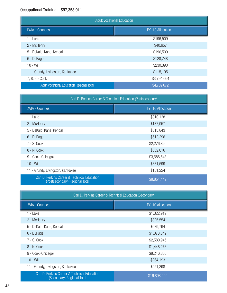## Occupational Training – \$97,358,911

| <b>Adult Vocational Education</b>                |                   |
|--------------------------------------------------|-------------------|
| <b>LWIA - Counties</b>                           | FY '10 Allocation |
| 1 - Lake                                         | \$196,509         |
| 2 - McHenry                                      | \$40,657          |
| 5 - DeKalb, Kane, Kendall                        | \$196,509         |
| 6 - DuPage                                       | \$128,748         |
| $10 - Will$                                      | \$230,390         |
| 11 - Grundy, Livingston, Kankakee                | \$115,195         |
| 7, 8, 9 - Cook                                   | \$3,794,664       |
| <b>Adult Vocational Education Regional Total</b> | \$4,702,672       |

| Carl D. Perkins Career & Technical Education (Postsecondary)                   |                   |
|--------------------------------------------------------------------------------|-------------------|
| <b>LWIA - Counties</b>                                                         | FY '10 Allocation |
| 1 - Lake                                                                       | \$310,138         |
| 2 - McHenry                                                                    | \$137,957         |
| 5 - DeKalb, Kane, Kendall                                                      | \$615,843         |
| 6 - DuPage                                                                     | \$612,296         |
| 7 - S. Cook                                                                    | \$2,276,826       |
| 8 - N. Cook                                                                    | \$652,016         |
| 9 - Cook (Chicago)                                                             | \$3,686,543       |
| $10 - Will$                                                                    | \$381,599         |
| 11 - Grundy, Livingston, Kankakee                                              | \$181,224         |
| Carl D. Perkins Career & Technical Education<br>(Postsecondary) Regional Total | \$8,854,442       |

| Carl D. Perkins Career & Technical Education (Secondary)                   |                   |
|----------------------------------------------------------------------------|-------------------|
| <b>LWIA - Counties</b>                                                     | FY '10 Allocation |
| 1 - Lake                                                                   | \$1,322,919       |
| 2 - McHenry                                                                | \$325,554         |
| 5 - DeKalb, Kane, Kendall                                                  | \$679,794         |
| 6 - DuPage                                                                 | \$1,078,349       |
| 7 - S. Cook                                                                | \$2,580,945       |
| 8 - N. Cook                                                                | \$1,448,273       |
| 9 - Cook (Chicago)                                                         | \$8,246,886       |
| $10 - Will$                                                                | \$264,193         |
| 11 - Grundy, Livingston, Kankakee                                          | \$951,298         |
| Carl D. Perkins Career & Technical Education<br>(Secondary) Regional Total | \$16,898,209      |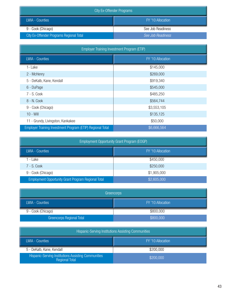| City Ex-Offender Programs                       |                   |
|-------------------------------------------------|-------------------|
| LWIA - Counties                                 | FY '10 Allocation |
| 9 - Cook (Chicago)                              | See Job Readiness |
| <b>City Ex-Offender Programs Regional Total</b> | See Job Readiness |

| Employer Training Investment Program (ETIP)                |                   |
|------------------------------------------------------------|-------------------|
| LWIA - Counties                                            | FY '10 Allocation |
| 1- Lake                                                    | \$145,000         |
| 2 - McHenry                                                | \$269,000         |
| 5 - DeKalb, Kane, Kendall                                  | \$919,340         |
| 6 - DuPage                                                 | \$545,000         |
| 7 - S. Cook                                                | \$485,250         |
| 8 - N. Cook                                                | \$564,744         |
| 9 - Cook (Chicago)                                         | \$3,553,105       |
| $10 - Will$                                                | \$135,125         |
| 11 - Grundy, Livingston, Kankakee                          | \$50,000          |
| Employer Training Investment Program (ETIP) Regional Total | \$6,666,564       |

| Employment Opportunity Grant Program (EOGP)         |                   |
|-----------------------------------------------------|-------------------|
| <b>LWIA - Counties</b>                              | FY '10 Allocation |
| - Lake                                              | \$450,000         |
| 7 - S. Cook                                         | \$250,000         |
| 9 - Cook (Chicago)                                  | \$1,905,000       |
| Employment Opportunity Grant Program Regional Total | \$2,605,000       |

| Greencorps                       |                   |
|----------------------------------|-------------------|
| <b>LWIA - Counties</b>           | FY '10 Allocation |
| 9 - Cook (Chicago)               | \$800,000         |
| <b>Greencorps Regional Total</b> | \$800,000         |

| Hispanic-Serving Institutions Assisting Communities                   |                   |
|-----------------------------------------------------------------------|-------------------|
| LWIA - Counties                                                       | FY '10 Allocation |
| 5 - DeKalb, Kane, Kendall                                             | \$200,000         |
| Hispanic-Serving Institutions Assisting Communities<br>Regional Total | \$200,000         |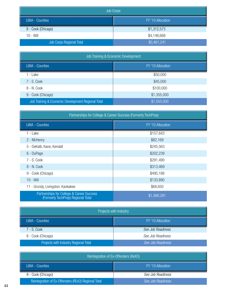| <b>Job Corps</b>         |                   |
|--------------------------|-------------------|
| <b>LWIA - Counties</b>   | FY '10 Allocation |
| 9 - Cook (Chicago)       | \$1,312,573       |
| $10 - Will$              | \$4,148,668       |
| Job Corps Regional Total | \$5,461,241       |

| Job Training & Economic Development                |                   |
|----------------------------------------------------|-------------------|
| <b>LWIA - Counties</b>                             | FY '10 Allocation |
| - Lake                                             | \$50,000          |
| $7 - S$ . Cook                                     | \$45,000          |
| 8 - N. Cook                                        | \$100,000         |
| 9 - Cook (Chicago)                                 | \$1,355,000       |
| Job Training & Economic Development Regional Total | \$1,550,000       |

| Partnerships for College & Career Success (Formerly TechPrep)                   |                   |
|---------------------------------------------------------------------------------|-------------------|
| <b>LWIA - Counties</b>                                                          | FY '10 Allocation |
| 1 - Lake                                                                        | \$157,643         |
| 2 - McHenry                                                                     | \$82,169          |
| 5 - DeKalb, Kane, Kendall                                                       | \$245,563         |
| 6 - DuPage                                                                      | \$202,239         |
| 7 - S. Cook                                                                     | \$291,490         |
| 8 - N. Cook                                                                     | \$313,469         |
| 9 - Cook (Chicago)                                                              | \$495,168         |
| $10 - Will$                                                                     | \$133,890         |
| 11 - Grundy, Livingston, Kankakee                                               | \$68,650          |
| Partnerships for College & Career Success<br>(Formerly TechPrep) Regional Total | \$1,990,281       |

| Projects with Industry                |                   |
|---------------------------------------|-------------------|
| LWIA - Counties                       | FY '10 Allocation |
| 7 - S. Cook                           | See Job Readiness |
| 9 - Cook (Chicago)                    | See Job Readiness |
| Projects with Industry Regional Total | See Job Readiness |

| Reintegration of Ex-Offenders (ReXO)                |                          |
|-----------------------------------------------------|--------------------------|
| LWIA - Counties                                     | FY '10 Allocation        |
| 9 - Cook (Chicago)                                  | See Job Readiness        |
| Reintegration of Ex-Offenders (RExO) Regional Total | <b>See Job Readiness</b> |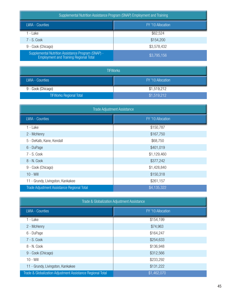Supplemental Nutrition Assistance Program (SNAP) Employment and Training

| <b>LWIA - Counties</b>                                                                              | FY '10 Allocation |
|-----------------------------------------------------------------------------------------------------|-------------------|
| - Lake                                                                                              | \$62,524          |
| 7 - S. Cook                                                                                         | \$154,200         |
| 9 - Cook (Chicago)                                                                                  | \$3,578,432       |
| Supplemental Nutrition Assistance Program (SNAP) -<br><b>Employment and Training Regional Total</b> | \$3,795,156       |

| <b>TIFWorks</b>                |                   |
|--------------------------------|-------------------|
| LWIA - Counties                | FY '10 Allocation |
| 9 - Cook (Chicago)             | \$1,519,212       |
| <b>TIFWorks Regional Total</b> | \$1,519,212       |

| <b>Trade Adjustment Assistance</b>         |                   |
|--------------------------------------------|-------------------|
| <b>LWIA - Counties</b>                     | FY '10 Allocation |
| 1 - Lake                                   | \$150,787         |
| 2 - McHenry                                | \$167,750         |
| 5 - DeKalb, Kane, Kendall                  | \$68,750          |
| 6 - DuPage                                 | \$401,019         |
| 7 - S. Cook                                | \$1,129,460       |
| 8 - N. Cook                                | \$377,242         |
| 9 - Cook (Chicago)                         | \$1,428,840       |
| $10 - Will$                                | \$150,318         |
| 11 - Grundy, Livingston, Kankakee          | \$261,157         |
| Trade Adjustment Assistance Regional Total | \$4,135,322       |

| Trade & Globalization Adjustment Assistance                |                   |
|------------------------------------------------------------|-------------------|
| <b>LWIA - Counties</b>                                     | FY '10 Allocation |
| 1 - Lake                                                   | \$154,199         |
| 2 - McHenry                                                | \$74,963          |
| 6 - DuPage                                                 | \$164,247         |
| 7 - S. Cook                                                | \$254,633         |
| 8 - N. Cook                                                | \$136,948         |
| 9 - Cook (Chicago)                                         | \$312,566         |
| $10 - Will$                                                | \$233,292         |
| 11 - Grundy, Livingston, Kankakee                          | \$131,222         |
| Trade & Globalization Adjustment Assistance Regional Total | \$1,462,070       |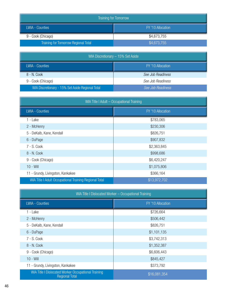| <b>Training for Tomorrow</b>         |                   |
|--------------------------------------|-------------------|
| <b>LWIA - Counties</b>               | FY '10 Allocation |
| 9 - Cook (Chicago)                   | \$4,673,755       |
| Training for Tomorrow Regional Total | \$4,673,755       |

| WIA Discretionary - 15% Set Aside                |                   |
|--------------------------------------------------|-------------------|
| LWIA - Counties                                  | FY '10 Allocation |
| 8 - N. Cook                                      | See Job Readiness |
| 9 - Cook (Chicago)                               | See Job Readiness |
| WIA Discretionary - 15% Set Aside Regional Total | See Job Readiness |

| WIA Title I Adult - Occupational Training                     |                   |  |
|---------------------------------------------------------------|-------------------|--|
| <b>LWIA - Counties</b>                                        | FY '10 Allocation |  |
| 1 - Lake                                                      | \$783,065         |  |
| 2 - McHenry                                                   | \$230,306         |  |
| 5 - DeKalb, Kane, Kendall                                     | \$826,751         |  |
| 6 - DuPage                                                    | \$907,832         |  |
| 7 - S. Cook                                                   | \$2,363,845       |  |
| 8 - N. Cook                                                   | \$998,686         |  |
| 9 - Cook (Chicago)                                            | \$6,420,247       |  |
| $10 - Will$                                                   | \$1,075,806       |  |
| 11 - Grundy, Livingston, Kankakee                             | \$366,164         |  |
| <b>WIA Title I Adult Occupational Training Regional Total</b> | \$13,972,702      |  |

| WIA Title I Dislocated Worker - Occupational Training                        |                   |
|------------------------------------------------------------------------------|-------------------|
| <b>LWIA - Counties</b>                                                       | FY '10 Allocation |
| 1 - Lake                                                                     | \$726,664         |
| 2 - McHenry                                                                  | \$506,442         |
| 5 - DeKalb, Kane, Kendall                                                    | \$826,751         |
| 6 - DuPage                                                                   | \$1,101,135       |
| 7 - S. Cook                                                                  | \$3,742,313       |
| 8 - N. Cook                                                                  | \$1,352,387       |
| 9 - Cook (Chicago)                                                           | \$6,606,443       |
| $10 - Will$                                                                  | \$845,427         |
| 11 - Grundy, Livingston, Kankakee                                            | \$373,792         |
| WIA Title I Dislocated Worker Occupational Training<br><b>Regional Total</b> | \$16,081,354      |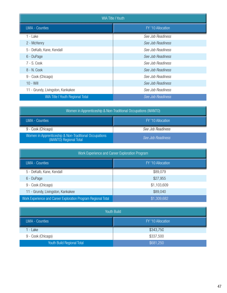| <b>WIA Title I Youth</b>                |                   |  |
|-----------------------------------------|-------------------|--|
| <b>LWIA - Counties</b>                  | FY '10 Allocation |  |
| 1 - Lake                                | See Job Readiness |  |
| 2 - McHenry                             | See Job Readiness |  |
| 5 - DeKalb, Kane, Kendall               | See Job Readiness |  |
| 6 - DuPage                              | See Job Readiness |  |
| 7 - S. Cook                             | See Job Readiness |  |
| 8 - N. Cook                             | See Job Readiness |  |
| 9 - Cook (Chicago)                      | See Job Readiness |  |
| $10 - Will$                             | See Job Readiness |  |
| 11 - Grundy, Livingston, Kankakee       | See Job Readiness |  |
| <b>WIA Title I Youth Regional Total</b> | See Job Readiness |  |

| Women in Apprenticeship & Non-Traditional Occupations (WANTO)                   |                   |  |
|---------------------------------------------------------------------------------|-------------------|--|
| <b>LWIA - Counties</b>                                                          | FY '10 Allocation |  |
| 9 - Cook (Chicago)                                                              | See Job Readiness |  |
| Women in Apprenticeship & Non-Traditional Occupations<br>(WANTO) Regional Total | See Job Readiness |  |

| Work Experience and Career Exploration Program                |                   |
|---------------------------------------------------------------|-------------------|
| <b>LWIA - Counties</b>                                        | FY '10 Allocation |
| 5 - DeKalb, Kane, Kendall                                     | \$89,079          |
| 6 - DuPage                                                    | \$27,955          |
| 9 - Cook (Chicago)                                            | \$1,103,609       |
| 11 - Grundy, Livingston, Kankakee                             | \$89,040          |
| Work Experience and Career Exploration Program Regional Total | \$1,309,682       |

| Youth Build                |                   |
|----------------------------|-------------------|
| <b>LWIA - Counties</b>     | FY '10 Allocation |
| 1 - Lake                   | \$343,750         |
| 9 - Cook (Chicago)         | \$337,500         |
| Youth Build Regional Total | \$681,250         |